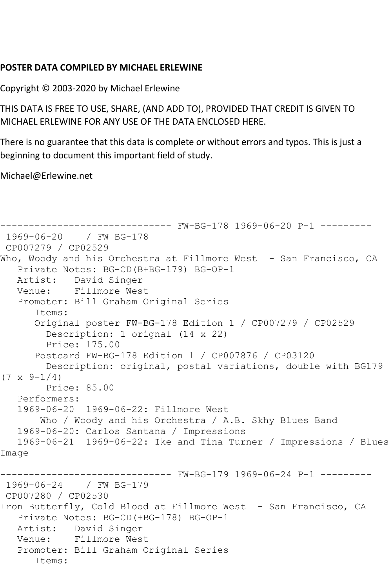## **POSTER DATA COMPILED BY MICHAEL ERLEWINE**

Copyright © 2003-2020 by Michael Erlewine

THIS DATA IS FREE TO USE, SHARE, (AND ADD TO), PROVIDED THAT CREDIT IS GIVEN TO MICHAEL ERLEWINE FOR ANY USE OF THE DATA ENCLOSED HERE.

There is no guarantee that this data is complete or without errors and typos. This is just a beginning to document this important field of study.

Michael@Erlewine.net

```
------------------------------ FW-BG-178 1969-06-20 P-1 ---------
1969-06-20 / FW BG-178
CP007279 / CP02529
Who, Woody and his Orchestra at Fillmore West - San Francisco, CA
   Private Notes: BG-CD(B+BG-179) BG-OP-1
   Artist: David Singer
   Venue: Fillmore West
   Promoter: Bill Graham Original Series
       Items:
       Original poster FW-BG-178 Edition 1 / CP007279 / CP02529
         Description: 1 orignal (14 x 22)
         Price: 175.00
       Postcard FW-BG-178 Edition 1 / CP007876 / CP03120
         Description: original, postal variations, double with BG179 
(7 \times 9 - 1/4) Price: 85.00
   Performers:
   1969-06-20 1969-06-22: Fillmore West
        Who / Woody and his Orchestra / A.B. Skhy Blues Band
   1969-06-20: Carlos Santana / Impressions
   1969-06-21 1969-06-22: Ike and Tina Turner / Impressions / Blues 
Image
------------------------------ FW-BG-179 1969-06-24 P-1 ---------
1969-06-24 / FW BG-179
CP007280 / CP02530
Iron Butterfly, Cold Blood at Fillmore West - San Francisco, CA
   Private Notes: BG-CD(+BG-178) BG-OP-1
  Artist: David Singer<br>Venue: Fillmore Wes
           Fillmore West
   Promoter: Bill Graham Original Series
       Items:
```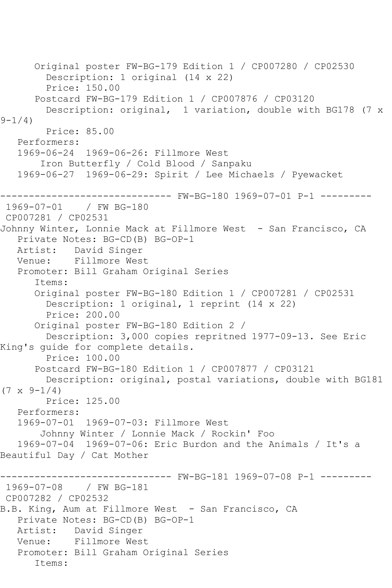```
 Original poster FW-BG-179 Edition 1 / CP007280 / CP02530
         Description: 1 original (14 x 22)
         Price: 150.00
       Postcard FW-BG-179 Edition 1 / CP007876 / CP03120
         Description: original, 1 variation, double with BG178 (7 x 
9 - 1/4 Price: 85.00
   Performers:
   1969-06-24 1969-06-26: Fillmore West
        Iron Butterfly / Cold Blood / Sanpaku
   1969-06-27 1969-06-29: Spirit / Lee Michaels / Pyewacket
                  ------------------------------ FW-BG-180 1969-07-01 P-1 ---------
1969-07-01 / FW BG-180
CP007281 / CP02531
Johnny Winter, Lonnie Mack at Fillmore West - San Francisco, CA
   Private Notes: BG-CD(B) BG-OP-1
   Artist: David Singer
   Venue: Fillmore West
   Promoter: Bill Graham Original Series
       Items:
       Original poster FW-BG-180 Edition 1 / CP007281 / CP02531
         Description: 1 original, 1 reprint (14 x 22)
         Price: 200.00
       Original poster FW-BG-180 Edition 2 / 
         Description: 3,000 copies repritned 1977-09-13. See Eric 
King's guide for complete details.
         Price: 100.00
       Postcard FW-BG-180 Edition 1 / CP007877 / CP03121
         Description: original, postal variations, double with BG181 
(7 \times 9 - 1/4) Price: 125.00
   Performers:
   1969-07-01 1969-07-03: Fillmore West
        Johnny Winter / Lonnie Mack / Rockin' Foo
   1969-07-04 1969-07-06: Eric Burdon and the Animals / It's a 
Beautiful Day / Cat Mother
------------------------------ FW-BG-181 1969-07-08 P-1 ---------
1969-07-08 / FW BG-181
CP007282 / CP02532
B.B. King, Aum at Fillmore West - San Francisco, CA
   Private Notes: BG-CD(B) BG-OP-1
   Artist: David Singer
   Venue: Fillmore West
   Promoter: Bill Graham Original Series
       Items:
```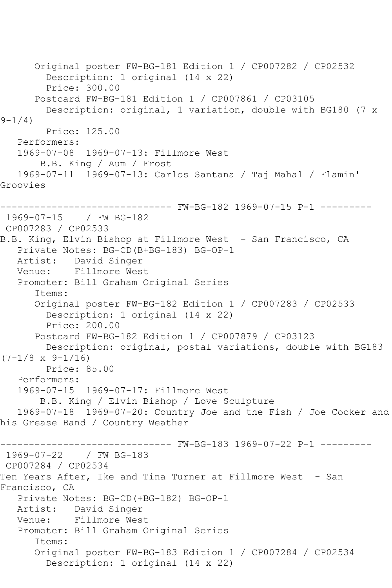Original poster FW-BG-181 Edition 1 / CP007282 / CP02532 Description: 1 original (14 x 22) Price: 300.00 Postcard FW-BG-181 Edition 1 / CP007861 / CP03105 Description: original, 1 variation, double with BG180 (7 x  $9 - 1/4$  Price: 125.00 Performers: 1969-07-08 1969-07-13: Fillmore West B.B. King / Aum / Frost 1969-07-11 1969-07-13: Carlos Santana / Taj Mahal / Flamin' Groovies ------------------------------ FW-BG-182 1969-07-15 P-1 --------- 1969-07-15 / FW BG-182 CP007283 / CP02533 B.B. King, Elvin Bishop at Fillmore West - San Francisco, CA Private Notes: BG-CD(B+BG-183) BG-OP-1 Artist: David Singer Venue: Fillmore West Promoter: Bill Graham Original Series Items: Original poster FW-BG-182 Edition 1 / CP007283 / CP02533 Description: 1 original (14 x 22) Price: 200.00 Postcard FW-BG-182 Edition 1 / CP007879 / CP03123 Description: original, postal variations, double with BG183  $(7-1/8 \times 9-1/16)$  Price: 85.00 Performers: 1969-07-15 1969-07-17: Fillmore West B.B. King / Elvin Bishop / Love Sculpture 1969-07-18 1969-07-20: Country Joe and the Fish / Joe Cocker and his Grease Band / Country Weather ------------------------------ FW-BG-183 1969-07-22 P-1 --------- 1969-07-22 / FW BG-183 CP007284 / CP02534 Ten Years After, Ike and Tina Turner at Fillmore West - San Francisco, CA Private Notes: BG-CD(+BG-182) BG-OP-1 Artist: David Singer Venue: Fillmore West Promoter: Bill Graham Original Series Items: Original poster FW-BG-183 Edition 1 / CP007284 / CP02534 Description: 1 original (14 x 22)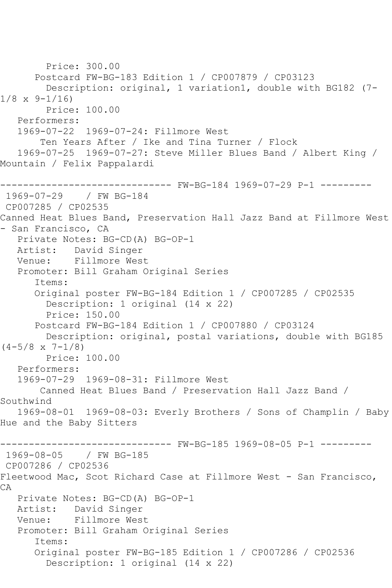Price: 300.00 Postcard FW-BG-183 Edition 1 / CP007879 / CP03123 Description: original, 1 variation1, double with BG182 (7-  $1/8 \times 9 - 1/16$  Price: 100.00 Performers: 1969-07-22 1969-07-24: Fillmore West Ten Years After / Ike and Tina Turner / Flock 1969-07-25 1969-07-27: Steve Miller Blues Band / Albert King / Mountain / Felix Pappalardi ------------------------------ FW-BG-184 1969-07-29 P-1 --------- 1969-07-29 / FW BG-184 CP007285 / CP02535 Canned Heat Blues Band, Preservation Hall Jazz Band at Fillmore West - San Francisco, CA Private Notes: BG-CD(A) BG-OP-1 Artist: David Singer Venue: Fillmore West Promoter: Bill Graham Original Series Items: Original poster FW-BG-184 Edition 1 / CP007285 / CP02535 Description: 1 original (14 x 22) Price: 150.00 Postcard FW-BG-184 Edition 1 / CP007880 / CP03124 Description: original, postal variations, double with BG185  $(4-5/8 \times 7-1/8)$  Price: 100.00 Performers: 1969-07-29 1969-08-31: Fillmore West Canned Heat Blues Band / Preservation Hall Jazz Band / Southwind 1969-08-01 1969-08-03: Everly Brothers / Sons of Champlin / Baby Hue and the Baby Sitters ------------------------------ FW-BG-185 1969-08-05 P-1 --------- 1969-08-05 / FW BG-185 CP007286 / CP02536 Fleetwood Mac, Scot Richard Case at Fillmore West - San Francisco, CA Private Notes: BG-CD(A) BG-OP-1 Artist: David Singer Venue: Fillmore West Promoter: Bill Graham Original Series Items: Original poster FW-BG-185 Edition 1 / CP007286 / CP02536 Description: 1 original (14 x 22)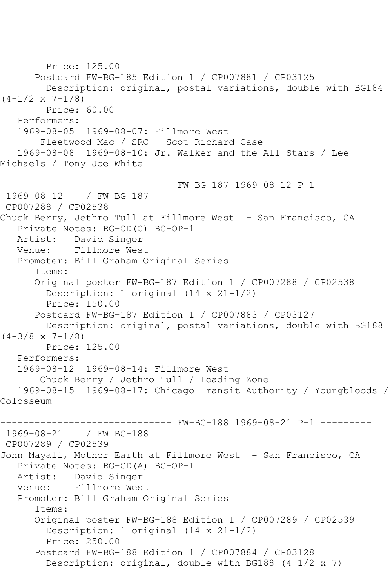Price: 125.00 Postcard FW-BG-185 Edition 1 / CP007881 / CP03125 Description: original, postal variations, double with BG184  $(4-1/2 \times 7-1/8)$  Price: 60.00 Performers: 1969-08-05 1969-08-07: Fillmore West Fleetwood Mac / SRC - Scot Richard Case 1969-08-08 1969-08-10: Jr. Walker and the All Stars / Lee Michaels / Tony Joe White ------------------------------ FW-BG-187 1969-08-12 P-1 --------- 1969-08-12 / FW BG-187 CP007288 / CP02538 Chuck Berry, Jethro Tull at Fillmore West - San Francisco, CA Private Notes: BG-CD(C) BG-OP-1 Artist: David Singer Venue: Fillmore West Promoter: Bill Graham Original Series Items: Original poster FW-BG-187 Edition 1 / CP007288 / CP02538 Description: 1 original (14 x 21-1/2) Price: 150.00 Postcard FW-BG-187 Edition 1 / CP007883 / CP03127 Description: original, postal variations, double with BG188  $(4-3/8 \times 7-1/8)$  Price: 125.00 Performers: 1969-08-12 1969-08-14: Fillmore West Chuck Berry / Jethro Tull / Loading Zone 1969-08-15 1969-08-17: Chicago Transit Authority / Youngbloods / Colosseum ------------------------------ FW-BG-188 1969-08-21 P-1 --------- 1969-08-21 / FW BG-188 CP007289 / CP02539 John Mayall, Mother Earth at Fillmore West - San Francisco, CA Private Notes: BG-CD(A) BG-OP-1 Artist: David Singer<br>Venue: Fillmore Wes Fillmore West Promoter: Bill Graham Original Series Items: Original poster FW-BG-188 Edition 1 / CP007289 / CP02539 Description: 1 original (14 x 21-1/2) Price: 250.00 Postcard FW-BG-188 Edition 1 / CP007884 / CP03128 Description: original, double with BG188 (4-1/2 x 7)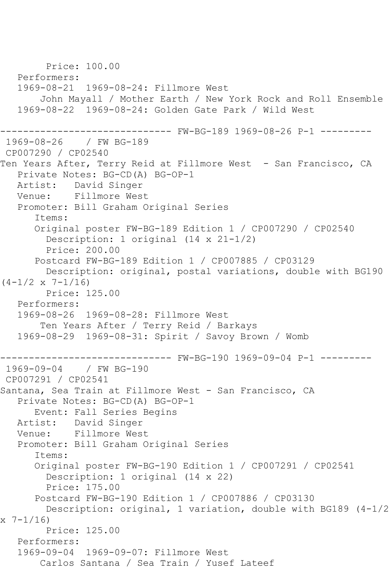Price: 100.00 Performers: 1969-08-21 1969-08-24: Fillmore West John Mayall / Mother Earth / New York Rock and Roll Ensemble 1969-08-22 1969-08-24: Golden Gate Park / Wild West ------------------------------ FW-BG-189 1969-08-26 P-1 --------- 1969-08-26 / FW BG-189 CP007290 / CP02540 Ten Years After, Terry Reid at Fillmore West - San Francisco, CA Private Notes: BG-CD(A) BG-OP-1 Artist: David Singer Venue: Fillmore West Promoter: Bill Graham Original Series Items: Original poster FW-BG-189 Edition 1 / CP007290 / CP02540 Description: 1 original (14 x 21-1/2) Price: 200.00 Postcard FW-BG-189 Edition 1 / CP007885 / CP03129 Description: original, postal variations, double with BG190 (4-1/2 x 7-1/16) Price: 125.00 Performers: 1969-08-26 1969-08-28: Fillmore West Ten Years After / Terry Reid / Barkays 1969-08-29 1969-08-31: Spirit / Savoy Brown / Womb ------ FW-BG-190 1969-09-04 P-1 --------1969-09-04 / FW BG-190 CP007291 / CP02541 Santana, Sea Train at Fillmore West - San Francisco, CA Private Notes: BG-CD(A) BG-OP-1 Event: Fall Series Begins Artist: David Singer Venue: Fillmore West Promoter: Bill Graham Original Series Items: Original poster FW-BG-190 Edition 1 / CP007291 / CP02541 Description: 1 original (14 x 22) Price: 175.00 Postcard FW-BG-190 Edition 1 / CP007886 / CP03130 Description: original, 1 variation, double with BG189 (4-1/2  $x \t7-1/16$  Price: 125.00 Performers: 1969-09-04 1969-09-07: Fillmore West Carlos Santana / Sea Train / Yusef Lateef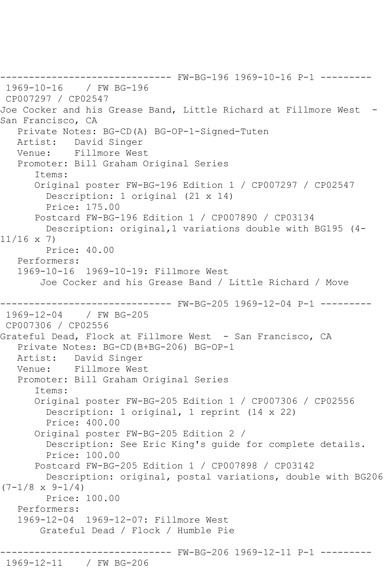------------------------------ FW-BG-196 1969-10-16 P-1 --------- 1969-10-16 / FW BG-196 CP007297 / CP02547 Joe Cocker and his Grease Band, Little Richard at Fillmore West San Francisco, CA Private Notes: BG-CD(A) BG-OP-1-Signed-Tuten Artist: David Singer Venue: Fillmore West Promoter: Bill Graham Original Series Items: Original poster FW-BG-196 Edition 1 / CP007297 / CP02547 Description: 1 original (21 x 14) Price: 175.00 Postcard FW-BG-196 Edition 1 / CP007890 / CP03134 Description: original,1 variations double with BG195 (4- 11/16 x 7) Price: 40.00 Performers: 1969-10-16 1969-10-19: Fillmore West Joe Cocker and his Grease Band / Little Richard / Move ------------------------------ FW-BG-205 1969-12-04 P-1 --------- 1969-12-04 / FW BG-205 CP007306 / CP02556 Grateful Dead, Flock at Fillmore West - San Francisco, CA Private Notes: BG-CD(B+BG-206) BG-OP-1 Artist: David Singer Venue: Fillmore West Promoter: Bill Graham Original Series Items: Original poster FW-BG-205 Edition 1 / CP007306 / CP02556 Description: 1 original, 1 reprint (14 x 22) Price: 400.00 Original poster FW-BG-205 Edition 2 / Description: See Eric King's guide for complete details. Price: 100.00 Postcard FW-BG-205 Edition 1 / CP007898 / CP03142 Description: original, postal variations, double with BG206  $(7-1/8 \times 9-1/4)$  Price: 100.00 Performers: 1969-12-04 1969-12-07: Fillmore West Grateful Dead / Flock / Humble Pie ------------------------------ FW-BG-206 1969-12-11 P-1 --------- 1969-12-11 / FW BG-206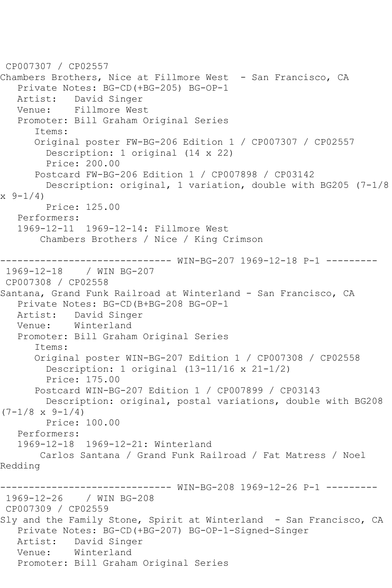CP007307 / CP02557 Chambers Brothers, Nice at Fillmore West - San Francisco, CA Private Notes: BG-CD(+BG-205) BG-OP-1 Artist: David Singer<br>Venue: Fillmore Wes Fillmore West Promoter: Bill Graham Original Series Items: Original poster FW-BG-206 Edition 1 / CP007307 / CP02557 Description: 1 original (14 x 22) Price: 200.00 Postcard FW-BG-206 Edition 1 / CP007898 / CP03142 Description: original, 1 variation, double with BG205 (7-1/8  $x \left( \frac{9-1}{4} \right)$  Price: 125.00 Performers: 1969-12-11 1969-12-14: Fillmore West Chambers Brothers / Nice / King Crimson ------------------------------ WIN-BG-207 1969-12-18 P-1 --------- 1969-12-18 / WIN BG-207 CP007308 / CP02558 Santana, Grand Funk Railroad at Winterland - San Francisco, CA Private Notes: BG-CD(B+BG-208 BG-OP-1 Artist: David Singer Venue: Winterland Promoter: Bill Graham Original Series Items: Original poster WIN-BG-207 Edition 1 / CP007308 / CP02558 Description: 1 original (13-11/16 x 21-1/2) Price: 175.00 Postcard WIN-BG-207 Edition 1 / CP007899 / CP03143 Description: original, postal variations, double with BG208  $(7-1/8 \times 9-1/4)$  Price: 100.00 Performers: 1969-12-18 1969-12-21: Winterland Carlos Santana / Grand Funk Railroad / Fat Matress / Noel Redding ------------------------------ WIN-BG-208 1969-12-26 P-1 --------- 1969-12-26 / WIN BG-208 CP007309 / CP02559 Sly and the Family Stone, Spirit at Winterland - San Francisco, CA Private Notes: BG-CD(+BG-207) BG-OP-1-Signed-Singer Artist: David Singer Venue: Winterland Promoter: Bill Graham Original Series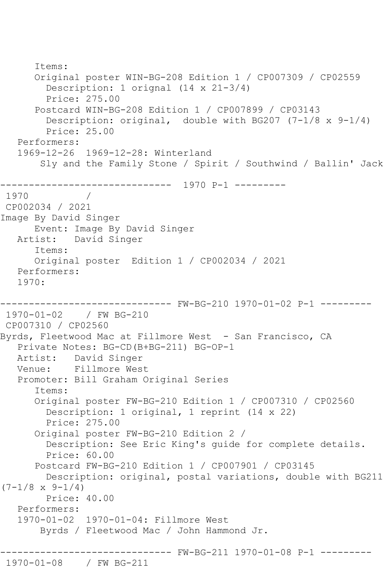```
 Items:
       Original poster WIN-BG-208 Edition 1 / CP007309 / CP02559
         Description: 1 orignal (14 x 21-3/4)
         Price: 275.00
       Postcard WIN-BG-208 Edition 1 / CP007899 / CP03143
        Description: original, double with BG207 (7-1/8 \times 9-1/4) Price: 25.00
    Performers:
    1969-12-26 1969-12-28: Winterland
        Sly and the Family Stone / Spirit / Southwind / Ballin' Jack
     ------------------------------ 1970 P-1 ---------
1970
CP002034 / 2021
Image By David Singer
       Event: Image By David Singer
   Artist: David Singer
       Items:
       Original poster Edition 1 / CP002034 / 2021
   Performers:
    1970:
------------------------------ FW-BG-210 1970-01-02 P-1 ---------
1970-01-02 / FW BG-210
CP007310 / CP02560
Byrds, Fleetwood Mac at Fillmore West - San Francisco, CA
    Private Notes: BG-CD(B+BG-211) BG-OP-1
   Artist: David Singer
   Venue: Fillmore West
   Promoter: Bill Graham Original Series
       Items:
       Original poster FW-BG-210 Edition 1 / CP007310 / CP02560
         Description: 1 original, 1 reprint (14 x 22)
         Price: 275.00
       Original poster FW-BG-210 Edition 2 / 
         Description: See Eric King's guide for complete details.
         Price: 60.00
       Postcard FW-BG-210 Edition 1 / CP007901 / CP03145
         Description: original, postal variations, double with BG211 
(7-1/8 \times 9-1/4) Price: 40.00
    Performers:
    1970-01-02 1970-01-04: Fillmore West
        Byrds / Fleetwood Mac / John Hammond Jr.
              ------------------------------ FW-BG-211 1970-01-08 P-1 ---------
1970-01-08 / FW BG-211
```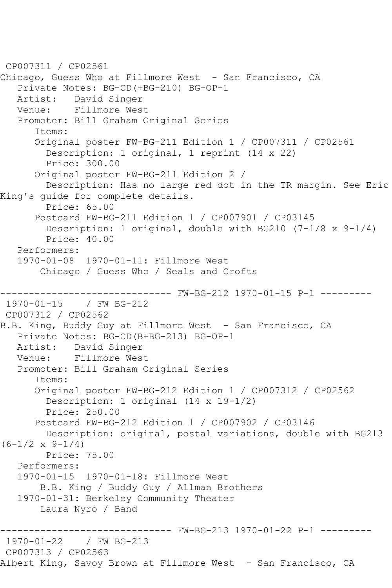```
CP007311 / CP02561
Chicago, Guess Who at Fillmore West - San Francisco, CA
    Private Notes: BG-CD(+BG-210) BG-OP-1
  Artist: David Singer<br>Venue: Fillmore Wes
            Fillmore West
    Promoter: Bill Graham Original Series
       Items:
       Original poster FW-BG-211 Edition 1 / CP007311 / CP02561
         Description: 1 original, 1 reprint (14 x 22)
         Price: 300.00
       Original poster FW-BG-211 Edition 2 / 
         Description: Has no large red dot in the TR margin. See Eric 
King's guide for complete details.
         Price: 65.00
       Postcard FW-BG-211 Edition 1 / CP007901 / CP03145
         Description: 1 original, double with BG210 (7-1/8 x 9-1/4)
         Price: 40.00
    Performers:
    1970-01-08 1970-01-11: Fillmore West
        Chicago / Guess Who / Seals and Crofts
                           ----- FW-BG-212 1970-01-15 P-1 ---------
1970-01-15 / FW BG-212
CP007312 / CP02562
B.B. King, Buddy Guy at Fillmore West - San Francisco, CA
   Private Notes: BG-CD(B+BG-213) BG-OP-1
   Artist: David Singer
   Venue: Fillmore West
   Promoter: Bill Graham Original Series
       Items:
       Original poster FW-BG-212 Edition 1 / CP007312 / CP02562
         Description: 1 original (14 x 19-1/2)
         Price: 250.00
       Postcard FW-BG-212 Edition 1 / CP007902 / CP03146
         Description: original, postal variations, double with BG213 
(6-1/2 \times 9-1/4) Price: 75.00
    Performers:
    1970-01-15 1970-01-18: Fillmore West
        B.B. King / Buddy Guy / Allman Brothers
    1970-01-31: Berkeley Community Theater
        Laura Nyro / Band
                     ------------------------------ FW-BG-213 1970-01-22 P-1 ---------
1970-01-22 / FW BG-213
CP007313 / CP02563
Albert King, Savoy Brown at Fillmore West - San Francisco, CA
```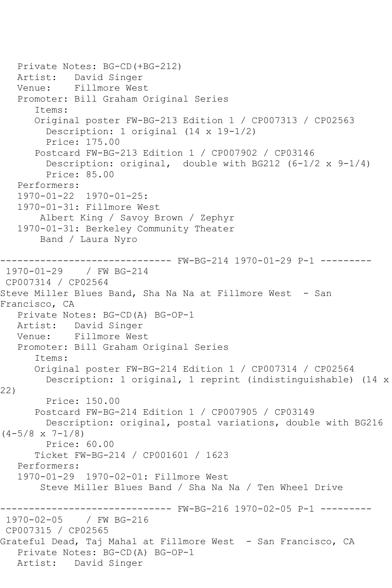```
 Private Notes: BG-CD(+BG-212)
   Artist: David Singer
   Venue: Fillmore West
    Promoter: Bill Graham Original Series
       Items:
       Original poster FW-BG-213 Edition 1 / CP007313 / CP02563
         Description: 1 original (14 x 19-1/2)
         Price: 175.00
       Postcard FW-BG-213 Edition 1 / CP007902 / CP03146
         Description: original, double with BG212 (6-1/2 x 9-1/4)
         Price: 85.00
    Performers:
    1970-01-22 1970-01-25:
    1970-01-31: Fillmore West
        Albert King / Savoy Brown / Zephyr
    1970-01-31: Berkeley Community Theater
        Band / Laura Nyro
                      ------------------------------ FW-BG-214 1970-01-29 P-1 ---------
1970-01-29 / FW BG-214
CP007314 / CP02564
Steve Miller Blues Band, Sha Na Na at Fillmore West - San 
Francisco, CA
    Private Notes: BG-CD(A) BG-OP-1
  Artist: David Singer<br>Venue: Fillmore Wes
            Fillmore West
   Promoter: Bill Graham Original Series
       Items:
       Original poster FW-BG-214 Edition 1 / CP007314 / CP02564
         Description: 1 original, 1 reprint (indistinguishable) (14 x 
22)
         Price: 150.00
       Postcard FW-BG-214 Edition 1 / CP007905 / CP03149
         Description: original, postal variations, double with BG216 
(4-5/8 \times 7-1/8) Price: 60.00
       Ticket FW-BG-214 / CP001601 / 1623
    Performers:
    1970-01-29 1970-02-01: Fillmore West
        Steve Miller Blues Band / Sha Na Na / Ten Wheel Drive
                   ------------------------------ FW-BG-216 1970-02-05 P-1 ---------
1970-02-05 / FW BG-216
CP007315 / CP02565
Grateful Dead, Taj Mahal at Fillmore West - San Francisco, CA
   Private Notes: BG-CD(A) BG-OP-1
   Artist: David Singer
```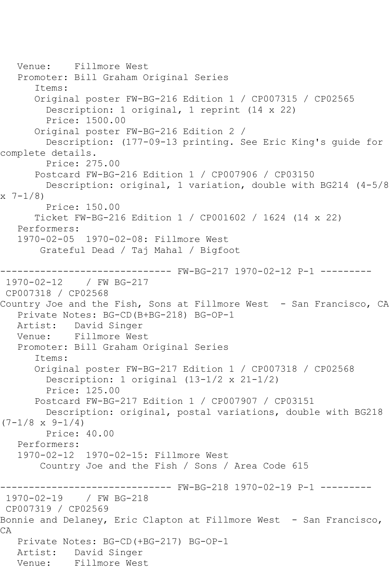```
 Venue: Fillmore West
    Promoter: Bill Graham Original Series
       Items:
       Original poster FW-BG-216 Edition 1 / CP007315 / CP02565
         Description: 1 original, 1 reprint (14 x 22)
         Price: 1500.00
       Original poster FW-BG-216 Edition 2 / 
         Description: (177-09-13 printing. See Eric King's guide for 
complete details.
         Price: 275.00
       Postcard FW-BG-216 Edition 1 / CP007906 / CP03150
         Description: original, 1 variation, double with BG214 (4-5/8 
x \t7-1/8 Price: 150.00
       Ticket FW-BG-216 Edition 1 / CP001602 / 1624 (14 x 22)
    Performers:
    1970-02-05 1970-02-08: Fillmore West
        Grateful Dead / Taj Mahal / Bigfoot
------------------------------ FW-BG-217 1970-02-12 P-1 ---------
              1970-02-12 / FW BG-217
CP007318 / CP02568
Country Joe and the Fish, Sons at Fillmore West - San Francisco, CA
    Private Notes: BG-CD(B+BG-218) BG-OP-1
  Artist: David Singer<br>Venue: Fillmore Wes
            Fillmore West
    Promoter: Bill Graham Original Series
       Items:
       Original poster FW-BG-217 Edition 1 / CP007318 / CP02568
         Description: 1 original (13-1/2 x 21-1/2)
         Price: 125.00
       Postcard FW-BG-217 Edition 1 / CP007907 / CP03151
         Description: original, postal variations, double with BG218 
(7-1/8 \times 9-1/4) Price: 40.00
    Performers:
    1970-02-12 1970-02-15: Fillmore West
        Country Joe and the Fish / Sons / Area Code 615
------------------------------ FW-BG-218 1970-02-19 P-1 ---------
1970-02-19 / FW BG-218
CP007319 / CP02569
Bonnie and Delaney, Eric Clapton at Fillmore West - San Francisco,
CA
   Private Notes: BG-CD(+BG-217) BG-OP-1
   Artist: David Singer
   Venue: Fillmore West
```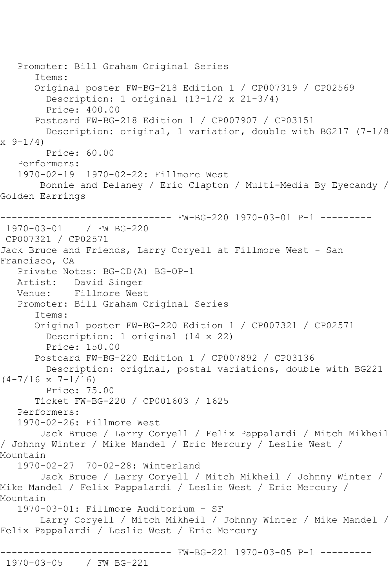Promoter: Bill Graham Original Series Items: Original poster FW-BG-218 Edition 1 / CP007319 / CP02569 Description: 1 original (13-1/2 x 21-3/4) Price: 400.00 Postcard FW-BG-218 Edition 1 / CP007907 / CP03151 Description: original, 1 variation, double with BG217 (7-1/8  $x \left( \frac{9-1}{4} \right)$  Price: 60.00 Performers: 1970-02-19 1970-02-22: Fillmore West Bonnie and Delaney / Eric Clapton / Multi-Media By Eyecandy / Golden Earrings ------------------------------ FW-BG-220 1970-03-01 P-1 --------- 1970-03-01 / FW BG-220 CP007321 / CP02571 Jack Bruce and Friends, Larry Coryell at Fillmore West - San Francisco, CA Private Notes: BG-CD(A) BG-OP-1 Artist: David Singer Venue: Fillmore West Promoter: Bill Graham Original Series Items: Original poster FW-BG-220 Edition 1 / CP007321 / CP02571 Description: 1 original (14 x 22) Price: 150.00 Postcard FW-BG-220 Edition 1 / CP007892 / CP03136 Description: original, postal variations, double with BG221  $(4-7/16 \times 7-1/16)$  Price: 75.00 Ticket FW-BG-220 / CP001603 / 1625 Performers: 1970-02-26: Fillmore West Jack Bruce / Larry Coryell / Felix Pappalardi / Mitch Mikheil / Johnny Winter / Mike Mandel / Eric Mercury / Leslie West / Mountain 1970-02-27 70-02-28: Winterland Jack Bruce / Larry Coryell / Mitch Mikheil / Johnny Winter / Mike Mandel / Felix Pappalardi / Leslie West / Eric Mercury / Mountain 1970-03-01: Fillmore Auditorium - SF Larry Coryell / Mitch Mikheil / Johnny Winter / Mike Mandel / Felix Pappalardi / Leslie West / Eric Mercury ------------------------------ FW-BG-221 1970-03-05 P-1 --------- 1970-03-05 / FW BG-221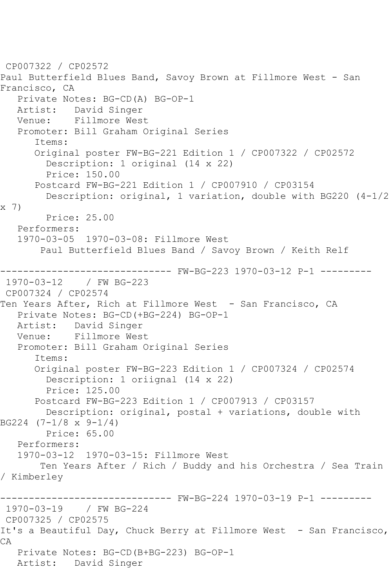```
CP007322 / CP02572
Paul Butterfield Blues Band, Savoy Brown at Fillmore West - San 
Francisco, CA
    Private Notes: BG-CD(A) BG-OP-1
   Artist: David Singer
   Venue: Fillmore West
    Promoter: Bill Graham Original Series
       Items:
       Original poster FW-BG-221 Edition 1 / CP007322 / CP02572
         Description: 1 original (14 x 22)
         Price: 150.00
       Postcard FW-BG-221 Edition 1 / CP007910 / CP03154
         Description: original, 1 variation, double with BG220 (4-1/2 
x 7)
         Price: 25.00
    Performers:
    1970-03-05 1970-03-08: Fillmore West
        Paul Butterfield Blues Band / Savoy Brown / Keith Relf
------------------------------ FW-BG-223 1970-03-12 P-1 ---------
1970-03-12
CP007324 / CP02574
Ten Years After, Rich at Fillmore West - San Francisco, CA
  Private Notes: BG-CD(+BG-224) BG-OP-1<br>Artist: David Singer
  Artist: David Singer<br>Venue: Fillmore Wes
            Fillmore West
   Promoter: Bill Graham Original Series
       Items:
       Original poster FW-BG-223 Edition 1 / CP007324 / CP02574
         Description: 1 oriignal (14 x 22)
         Price: 125.00
       Postcard FW-BG-223 Edition 1 / CP007913 / CP03157
         Description: original, postal + variations, double with 
BG224 (7-1/8 x 9-1/4)
         Price: 65.00
    Performers:
    1970-03-12 1970-03-15: Fillmore West
        Ten Years After / Rich / Buddy and his Orchestra / Sea Train 
/ Kimberley
                     ------------------------------ FW-BG-224 1970-03-19 P-1 ---------
1970-03-19 / FW BG-224
CP007325 / CP02575
It's a Beautiful Day, Chuck Berry at Fillmore West - San Francisco,
CA
    Private Notes: BG-CD(B+BG-223) BG-OP-1
   Artist: David Singer
```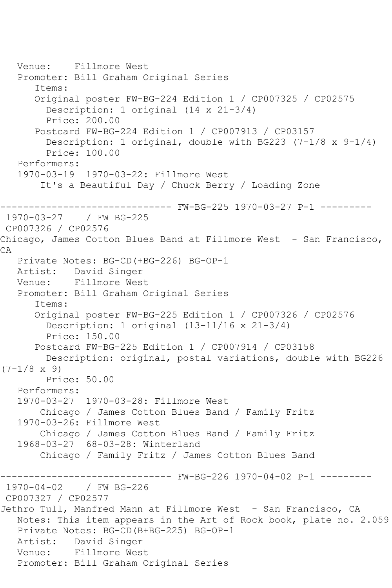```
 Venue: Fillmore West
    Promoter: Bill Graham Original Series
       Items:
       Original poster FW-BG-224 Edition 1 / CP007325 / CP02575
         Description: 1 original (14 x 21-3/4)
         Price: 200.00
       Postcard FW-BG-224 Edition 1 / CP007913 / CP03157
        Description: 1 original, double with BG223 (7-1/8 \times 9-1/4) Price: 100.00
    Performers:
    1970-03-19 1970-03-22: Fillmore West
        It's a Beautiful Day / Chuck Berry / Loading Zone
              ------------------------------ FW-BG-225 1970-03-27 P-1 ---------
1970-03-27
CP007326 / CP02576
Chicago, James Cotton Blues Band at Fillmore West - San Francisco, 
CA
   Private Notes: BG-CD(+BG-226) BG-OP-1
   Artist: David Singer
   Venue: Fillmore West
    Promoter: Bill Graham Original Series
       Items:
       Original poster FW-BG-225 Edition 1 / CP007326 / CP02576
         Description: 1 original (13-11/16 x 21-3/4)
         Price: 150.00
       Postcard FW-BG-225 Edition 1 / CP007914 / CP03158
         Description: original, postal variations, double with BG226 
(7-1/8 \times 9) Price: 50.00
    Performers:
    1970-03-27 1970-03-28: Fillmore West
        Chicago / James Cotton Blues Band / Family Fritz
    1970-03-26: Fillmore West
        Chicago / James Cotton Blues Band / Family Fritz
    1968-03-27 68-03-28: Winterland
        Chicago / Family Fritz / James Cotton Blues Band
                  ------------------------------ FW-BG-226 1970-04-02 P-1 ---------
1970-04-02 / FW BG-226
CP007327 / CP02577
Jethro Tull, Manfred Mann at Fillmore West - San Francisco, CA
   Notes: This item appears in the Art of Rock book, plate no. 2.059
   Private Notes: BG-CD(B+BG-225) BG-OP-1
   Artist: David Singer
   Venue: Fillmore West
   Promoter: Bill Graham Original Series
```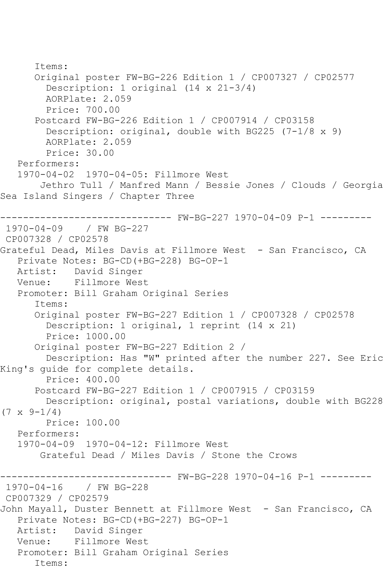Items: Original poster FW-BG-226 Edition 1 / CP007327 / CP02577 Description: 1 original (14 x 21-3/4) AORPlate: 2.059 Price: 700.00 Postcard FW-BG-226 Edition 1 / CP007914 / CP03158 Description: original, double with BG225 (7-1/8 x 9) AORPlate: 2.059 Price: 30.00 Performers: 1970-04-02 1970-04-05: Fillmore West Jethro Tull / Manfred Mann / Bessie Jones / Clouds / Georgia Sea Island Singers / Chapter Three ------------------------------ FW-BG-227 1970-04-09 P-1 --------- 1970-04-09 / FW BG-227 CP007328 / CP02578 Grateful Dead, Miles Davis at Fillmore West - San Francisco, CA Private Notes: BG-CD(+BG-228) BG-OP-1 Artist: David Singer Venue: Fillmore West Promoter: Bill Graham Original Series Items: Original poster FW-BG-227 Edition 1 / CP007328 / CP02578 Description: 1 original, 1 reprint (14 x 21) Price: 1000.00 Original poster FW-BG-227 Edition 2 / Description: Has "W" printed after the number 227. See Eric King's guide for complete details. Price: 400.00 Postcard FW-BG-227 Edition 1 / CP007915 / CP03159 Description: original, postal variations, double with BG228  $(7 \times 9 - 1/4)$  Price: 100.00 Performers: 1970-04-09 1970-04-12: Fillmore West Grateful Dead / Miles Davis / Stone the Crows ------------------------------ FW-BG-228 1970-04-16 P-1 --------- 1970-04-16 / FW BG-228 CP007329 / CP02579 John Mayall, Duster Bennett at Fillmore West - San Francisco, CA Private Notes: BG-CD(+BG-227) BG-OP-1 Artist: David Singer Venue: Fillmore West Promoter: Bill Graham Original Series Items: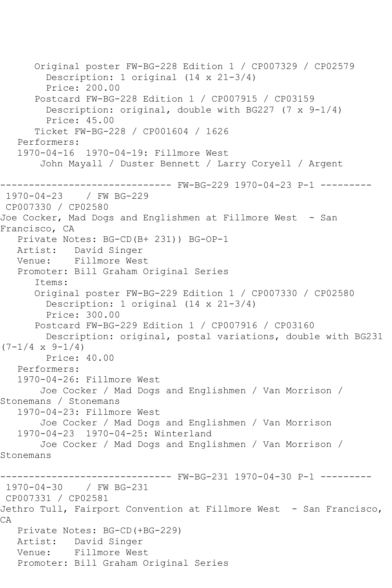Original poster FW-BG-228 Edition 1 / CP007329 / CP02579 Description: 1 original (14 x 21-3/4) Price: 200.00 Postcard FW-BG-228 Edition 1 / CP007915 / CP03159 Description: original, double with BG227 (7 x 9-1/4) Price: 45.00 Ticket FW-BG-228 / CP001604 / 1626 Performers: 1970-04-16 1970-04-19: Fillmore West John Mayall / Duster Bennett / Larry Coryell / Argent ------------------------------ FW-BG-229 1970-04-23 P-1 --------- 1970-04-23 / FW BG-229 CP007330 / CP02580 Joe Cocker, Mad Dogs and Englishmen at Fillmore West - San Francisco, CA Private Notes: BG-CD(B+ 231)) BG-OP-1 Artist: David Singer Venue: Fillmore West Promoter: Bill Graham Original Series Items: Original poster FW-BG-229 Edition 1 / CP007330 / CP02580 Description: 1 original (14 x 21-3/4) Price: 300.00 Postcard FW-BG-229 Edition 1 / CP007916 / CP03160 Description: original, postal variations, double with BG231  $(7-1/4 \times 9-1/4)$  Price: 40.00 Performers: 1970-04-26: Fillmore West Joe Cocker / Mad Dogs and Englishmen / Van Morrison / Stonemans / Stonemans 1970-04-23: Fillmore West Joe Cocker / Mad Dogs and Englishmen / Van Morrison 1970-04-23 1970-04-25: Winterland Joe Cocker / Mad Dogs and Englishmen / Van Morrison / Stonemans ------------------------------ FW-BG-231 1970-04-30 P-1 --------- 1970-04-30 / FW BG-231 CP007331 / CP02581 Jethro Tull, Fairport Convention at Fillmore West - San Francisco, CA Private Notes: BG-CD(+BG-229) Artist: David Singer Venue: Fillmore West Promoter: Bill Graham Original Series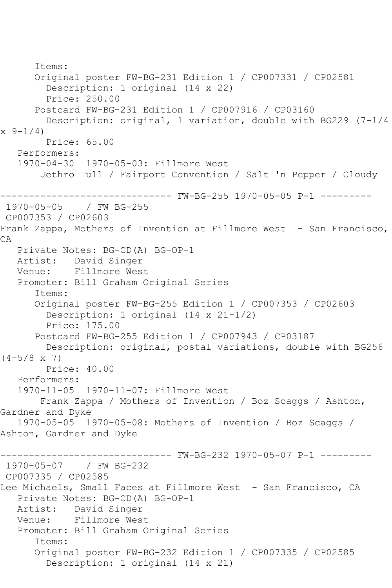```
 Items:
       Original poster FW-BG-231 Edition 1 / CP007331 / CP02581
         Description: 1 original (14 x 22)
         Price: 250.00
       Postcard FW-BG-231 Edition 1 / CP007916 / CP03160
         Description: original, 1 variation, double with BG229 (7-1/4 
x \left( \frac{9-1}{4} \right) Price: 65.00
    Performers:
   1970-04-30 1970-05-03: Fillmore West
        Jethro Tull / Fairport Convention / Salt 'n Pepper / Cloudy
                  ------------------------------ FW-BG-255 1970-05-05 P-1 ---------
1970-05-05 / FW BG-255
CP007353 / CP02603
Frank Zappa, Mothers of Invention at Fillmore West - San Francisco,
CA
  Private Notes: BG-CD(A) BG-OP-1<br>Artist: David Singer
            David Singer
   Venue: Fillmore West
   Promoter: Bill Graham Original Series
       Items:
       Original poster FW-BG-255 Edition 1 / CP007353 / CP02603
         Description: 1 original (14 x 21-1/2)
         Price: 175.00
       Postcard FW-BG-255 Edition 1 / CP007943 / CP03187
         Description: original, postal variations, double with BG256 
(4-5/8 \times 7) Price: 40.00
    Performers:
    1970-11-05 1970-11-07: Fillmore West
        Frank Zappa / Mothers of Invention / Boz Scaggs / Ashton, 
Gardner and Dyke
    1970-05-05 1970-05-08: Mothers of Invention / Boz Scaggs / 
Ashton, Gardner and Dyke
------------------------------ FW-BG-232 1970-05-07 P-1 ---------
1970-05-07 / FW BG-232
CP007335 / CP02585
Lee Michaels, Small Faces at Fillmore West - San Francisco, CA
    Private Notes: BG-CD(A) BG-OP-1
   Artist: David Singer
   Venue: Fillmore West
    Promoter: Bill Graham Original Series
       Items:
       Original poster FW-BG-232 Edition 1 / CP007335 / CP02585
         Description: 1 original (14 x 21)
```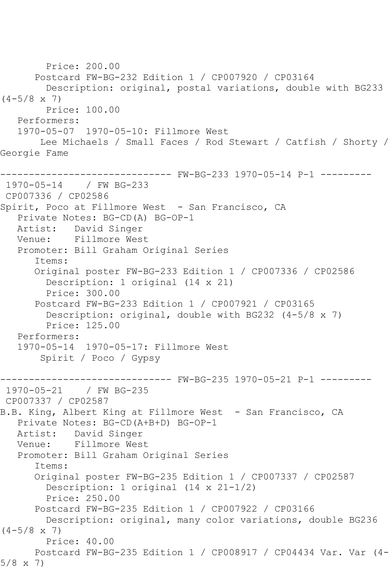```
 Price: 200.00
       Postcard FW-BG-232 Edition 1 / CP007920 / CP03164
         Description: original, postal variations, double with BG233 
(4-5/8 \times 7) Price: 100.00
    Performers:
    1970-05-07 1970-05-10: Fillmore West
        Lee Michaels / Small Faces / Rod Stewart / Catfish / Shorty / 
Georgie Fame
------------------------------ FW-BG-233 1970-05-14 P-1 ---------
1970-05-14 / FW BG-233
CP007336 / CP02586
Spirit, Poco at Fillmore West - San Francisco, CA
    Private Notes: BG-CD(A) BG-OP-1
    Artist: David Singer
   Venue: Fillmore West
    Promoter: Bill Graham Original Series
       Items:
       Original poster FW-BG-233 Edition 1 / CP007336 / CP02586
         Description: 1 original (14 x 21)
         Price: 300.00
       Postcard FW-BG-233 Edition 1 / CP007921 / CP03165
         Description: original, double with BG232 (4-5/8 x 7)
         Price: 125.00
    Performers:
    1970-05-14 1970-05-17: Fillmore West
        Spirit / Poco / Gypsy
                    ------------------------------ FW-BG-235 1970-05-21 P-1 ---------
1970-05-21 / FW BG-235
CP007337 / CP02587
B.B. King, Albert King at Fillmore West - San Francisco, CA
    Private Notes: BG-CD(A+B+D) BG-OP-1
   Artist: David Singer
   Venue: Fillmore West
    Promoter: Bill Graham Original Series
       Items:
       Original poster FW-BG-235 Edition 1 / CP007337 / CP02587
         Description: 1 original (14 x 21-1/2)
         Price: 250.00
       Postcard FW-BG-235 Edition 1 / CP007922 / CP03166
         Description: original, many color variations, double BG236 
(4-5/8 \times 7) Price: 40.00
       Postcard FW-BG-235 Edition 1 / CP008917 / CP04434 Var. Var (4-
5/8 x 7)
```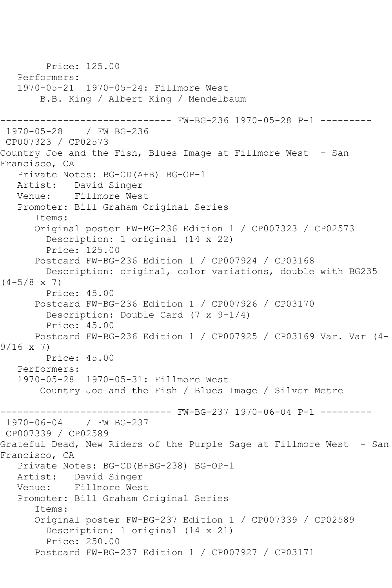Price: 125.00 Performers: 1970-05-21 1970-05-24: Fillmore West B.B. King / Albert King / Mendelbaum ------------------------------ FW-BG-236 1970-05-28 P-1 --------- 1970-05-28 / FW BG-236 CP007323 / CP02573 Country Joe and the Fish, Blues Image at Fillmore West - San Francisco, CA Private Notes: BG-CD(A+B) BG-OP-1 Artist: David Singer Venue: Fillmore West Promoter: Bill Graham Original Series Items: Original poster FW-BG-236 Edition 1 / CP007323 / CP02573 Description: 1 original (14 x 22) Price: 125.00 Postcard FW-BG-236 Edition 1 / CP007924 / CP03168 Description: original, color variations, double with BG235  $(4-5/8 \times 7)$  Price: 45.00 Postcard FW-BG-236 Edition 1 / CP007926 / CP03170 Description: Double Card (7 x 9-1/4) Price: 45.00 Postcard FW-BG-236 Edition 1 / CP007925 / CP03169 Var. Var (4- 9/16 x 7) Price: 45.00 Performers: 1970-05-28 1970-05-31: Fillmore West Country Joe and the Fish / Blues Image / Silver Metre ------------------------------ FW-BG-237 1970-06-04 P-1 ---------  $1970 - 06 - 04$ CP007339 / CP02589 Grateful Dead, New Riders of the Purple Sage at Fillmore West - San Francisco, CA Private Notes: BG-CD(B+BG-238) BG-OP-1 Artist: David Singer Venue: Fillmore West Promoter: Bill Graham Original Series Items: Original poster FW-BG-237 Edition 1 / CP007339 / CP02589 Description: 1 original (14 x 21) Price: 250.00 Postcard FW-BG-237 Edition 1 / CP007927 / CP03171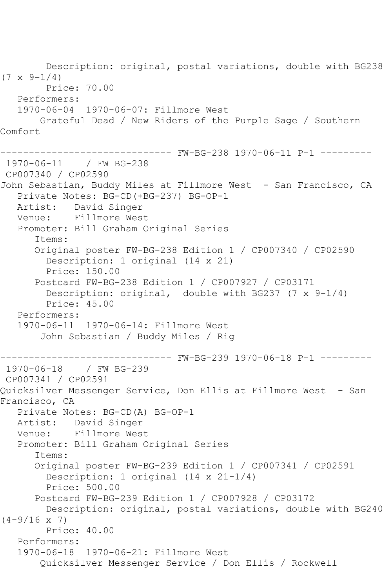Description: original, postal variations, double with BG238  $(7 \times 9 - 1/4)$  Price: 70.00 Performers: 1970-06-04 1970-06-07: Fillmore West Grateful Dead / New Riders of the Purple Sage / Southern Comfort ------ FW-BG-238 1970-06-11 P-1 ---------1970-06-11 / FW BG-238 CP007340 / CP02590 John Sebastian, Buddy Miles at Fillmore West - San Francisco, CA Private Notes: BG-CD(+BG-237) BG-OP-1 Artist: David Singer Venue: Fillmore West Promoter: Bill Graham Original Series Items: Original poster FW-BG-238 Edition 1 / CP007340 / CP02590 Description: 1 original (14 x 21) Price: 150.00 Postcard FW-BG-238 Edition 1 / CP007927 / CP03171 Description: original, double with BG237 (7 x 9-1/4) Price: 45.00 Performers: 1970-06-11 1970-06-14: Fillmore West John Sebastian / Buddy Miles / Rig ------------------------------ FW-BG-239 1970-06-18 P-1 --------- 1970-06-18 / FW BG-239 CP007341 / CP02591 Quicksilver Messenger Service, Don Ellis at Fillmore West - San Francisco, CA Private Notes: BG-CD(A) BG-OP-1 Artist: David Singer Venue: Fillmore West Promoter: Bill Graham Original Series Items: Original poster FW-BG-239 Edition 1 / CP007341 / CP02591 Description: 1 original (14 x 21-1/4) Price: 500.00 Postcard FW-BG-239 Edition 1 / CP007928 / CP03172 Description: original, postal variations, double with BG240  $(4-9/16 \times 7)$  Price: 40.00 Performers: 1970-06-18 1970-06-21: Fillmore West Quicksilver Messenger Service / Don Ellis / Rockwell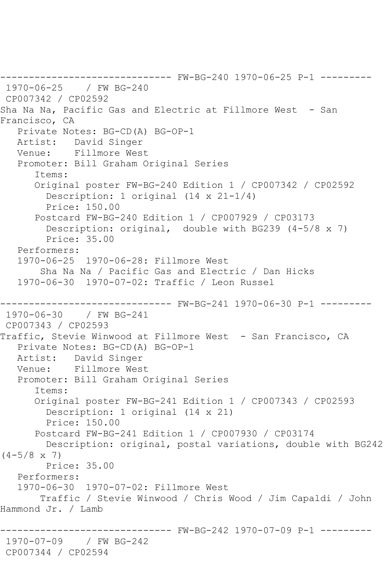------------------------------ FW-BG-240 1970-06-25 P-1 --------- 1970-06-25 / FW BG-240 CP007342 / CP02592 Sha Na Na, Pacific Gas and Electric at Fillmore West - San Francisco, CA Private Notes: BG-CD(A) BG-OP-1 Artist: David Singer Venue: Fillmore West Promoter: Bill Graham Original Series Items: Original poster FW-BG-240 Edition 1 / CP007342 / CP02592 Description: 1 original (14 x 21-1/4) Price: 150.00 Postcard FW-BG-240 Edition 1 / CP007929 / CP03173 Description: original, double with BG239 (4-5/8 x 7) Price: 35.00 Performers: 1970-06-25 1970-06-28: Fillmore West Sha Na Na / Pacific Gas and Electric / Dan Hicks 1970-06-30 1970-07-02: Traffic / Leon Russel ------------------------------ FW-BG-241 1970-06-30 P-1 --------- 1970-06-30 / FW BG-241 CP007343 / CP02593 Traffic, Stevie Winwood at Fillmore West - San Francisco, CA Private Notes: BG-CD(A) BG-OP-1 Artist: David Singer Venue: Fillmore West Promoter: Bill Graham Original Series Items: Original poster FW-BG-241 Edition 1 / CP007343 / CP02593 Description: 1 original (14 x 21) Price: 150.00 Postcard FW-BG-241 Edition 1 / CP007930 / CP03174 Description: original, postal variations, double with BG242  $(4-5/8 \times 7)$  Price: 35.00 Performers: 1970-06-30 1970-07-02: Fillmore West Traffic / Stevie Winwood / Chris Wood / Jim Capaldi / John Hammond Jr. / Lamb ------------------------------ FW-BG-242 1970-07-09 P-1 --------- 1970-07-09 / FW BG-242 CP007344 / CP02594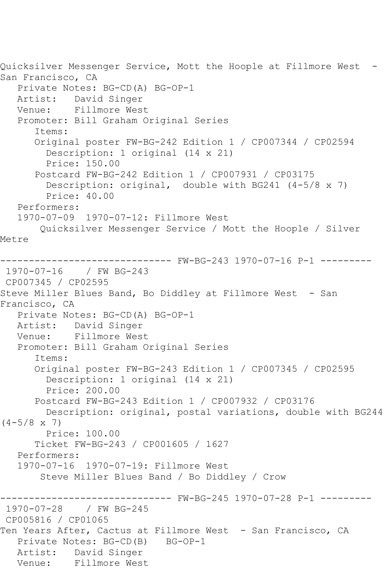Quicksilver Messenger Service, Mott the Hoople at Fillmore West - San Francisco, CA Private Notes: BG-CD(A) BG-OP-1 Artist: David Singer Venue: Fillmore West Promoter: Bill Graham Original Series Items: Original poster FW-BG-242 Edition 1 / CP007344 / CP02594 Description: 1 original (14 x 21) Price: 150.00 Postcard FW-BG-242 Edition 1 / CP007931 / CP03175 Description: original, double with BG241 (4-5/8 x 7) Price: 40.00 Performers: 1970-07-09 1970-07-12: Fillmore West Quicksilver Messenger Service / Mott the Hoople / Silver Metre ------------------------------ FW-BG-243 1970-07-16 P-1 --------- 1970-07-16 / FW BG-243 CP007345 / CP02595 Steve Miller Blues Band, Bo Diddley at Fillmore West - San Francisco, CA Private Notes: BG-CD(A) BG-OP-1 Artist: David Singer<br>Venue: Fillmore Wes Fillmore West Promoter: Bill Graham Original Series Items: Original poster FW-BG-243 Edition 1 / CP007345 / CP02595 Description: 1 original (14 x 21) Price: 200.00 Postcard FW-BG-243 Edition 1 / CP007932 / CP03176 Description: original, postal variations, double with BG244  $(4-5/8 \times 7)$  Price: 100.00 Ticket FW-BG-243 / CP001605 / 1627 Performers: 1970-07-16 1970-07-19: Fillmore West Steve Miller Blues Band / Bo Diddley / Crow ------------------------------ FW-BG-245 1970-07-28 P-1 --------- 1970-07-28 / FW BG-245 CP005816 / CP01065 Ten Years After, Cactus at Fillmore West - San Francisco, CA Private Notes: BG-CD(B) BG-OP-1 Artist: David Singer Venue: Fillmore West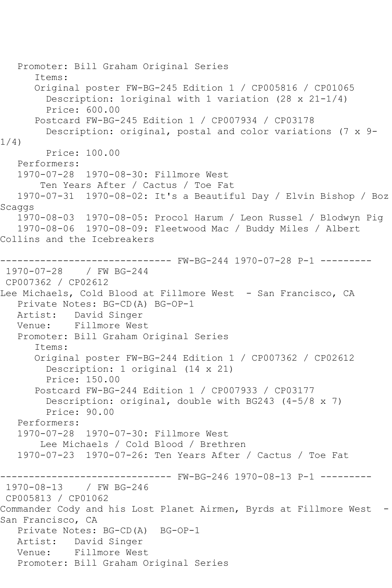Promoter: Bill Graham Original Series Items: Original poster FW-BG-245 Edition 1 / CP005816 / CP01065 Description: 1original with 1 variation (28 x 21-1/4) Price: 600.00 Postcard FW-BG-245 Edition 1 / CP007934 / CP03178 Description: original, postal and color variations (7 x 9- 1/4) Price: 100.00 Performers: 1970-07-28 1970-08-30: Fillmore West Ten Years After / Cactus / Toe Fat 1970-07-31 1970-08-02: It's a Beautiful Day / Elvin Bishop / Boz Scaggs 1970-08-03 1970-08-05: Procol Harum / Leon Russel / Blodwyn Pig 1970-08-06 1970-08-09: Fleetwood Mac / Buddy Miles / Albert Collins and the Icebreakers ------------------------------ FW-BG-244 1970-07-28 P-1 --------- 1970-07-28 / FW BG-244 CP007362 / CP02612 Lee Michaels, Cold Blood at Fillmore West - San Francisco, CA Private Notes: BG-CD(A) BG-OP-1 Artist: David Singer Venue: Fillmore West Promoter: Bill Graham Original Series Items: Original poster FW-BG-244 Edition 1 / CP007362 / CP02612 Description: 1 original (14 x 21) Price: 150.00 Postcard FW-BG-244 Edition 1 / CP007933 / CP03177 Description: original, double with BG243 (4-5/8 x 7) Price: 90.00 Performers: 1970-07-28 1970-07-30: Fillmore West Lee Michaels / Cold Blood / Brethren 1970-07-23 1970-07-26: Ten Years After / Cactus / Toe Fat ------------------------------ FW-BG-246 1970-08-13 P-1 --------- 1970-08-13 / FW BG-246 CP005813 / CP01062 Commander Cody and his Lost Planet Airmen, Byrds at Fillmore West - San Francisco, CA Private Notes: BG-CD(A) BG-OP-1 Artist: David Singer Venue: Fillmore West Promoter: Bill Graham Original Series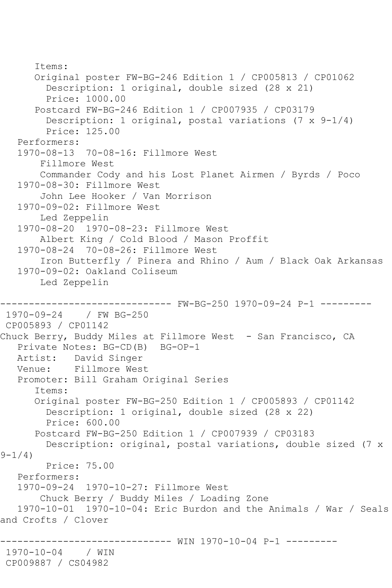```
 Items:
       Original poster FW-BG-246 Edition 1 / CP005813 / CP01062
         Description: 1 original, double sized (28 x 21)
         Price: 1000.00
       Postcard FW-BG-246 Edition 1 / CP007935 / CP03179
         Description: 1 original, postal variations (7 x 9-1/4)
         Price: 125.00
   Performers:
   1970-08-13 70-08-16: Fillmore West
        Fillmore West
        Commander Cody and his Lost Planet Airmen / Byrds / Poco
   1970-08-30: Fillmore West
        John Lee Hooker / Van Morrison
   1970-09-02: Fillmore West
        Led Zeppelin
   1970-08-20 1970-08-23: Fillmore West
        Albert King / Cold Blood / Mason Proffit
   1970-08-24 70-08-26: Fillmore West
        Iron Butterfly / Pinera and Rhino / Aum / Black Oak Arkansas
   1970-09-02: Oakland Coliseum
        Led Zeppelin
                  ------------------------------ FW-BG-250 1970-09-24 P-1 ---------
1970-09-24 / FW BG-250
CP005893 / CP01142
Chuck Berry, Buddy Miles at Fillmore West - San Francisco, CA
   Private Notes: BG-CD(B) BG-OP-1
   Artist: David Singer
   Venue: Fillmore West
   Promoter: Bill Graham Original Series
       Items:
       Original poster FW-BG-250 Edition 1 / CP005893 / CP01142
         Description: 1 original, double sized (28 x 22)
         Price: 600.00
       Postcard FW-BG-250 Edition 1 / CP007939 / CP03183
         Description: original, postal variations, double sized (7 x 
9 - 1/4 Price: 75.00
   Performers:
   1970-09-24 1970-10-27: Fillmore West
        Chuck Berry / Buddy Miles / Loading Zone
   1970-10-01 1970-10-04: Eric Burdon and the Animals / War / Seals 
and Crofts / Clover
                         ------ WIN 1970-10-04 P-1 ---------
1970-10-04 / WIN 
CP009887 / CS04982
```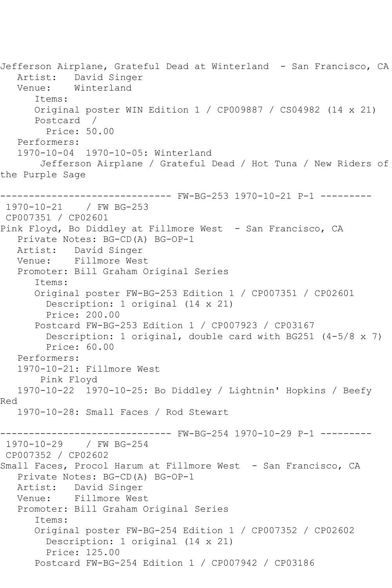Jefferson Airplane, Grateful Dead at Winterland - San Francisco, CA Artist: David Singer Venue: Winterland Items: Original poster WIN Edition 1 / CP009887 / CS04982 (14 x 21) Postcard / Price: 50.00 Performers: 1970-10-04 1970-10-05: Winterland Jefferson Airplane / Grateful Dead / Hot Tuna / New Riders of the Purple Sage ------------------------------ FW-BG-253 1970-10-21 P-1 --------- 1970-10-21 / FW BG-253 CP007351 / CP02601 Pink Floyd, Bo Diddley at Fillmore West - San Francisco, CA Private Notes: BG-CD(A) BG-OP-1 Artist: David Singer<br>Venue: Fillmore Wes Fillmore West Promoter: Bill Graham Original Series Items: Original poster FW-BG-253 Edition 1 / CP007351 / CP02601 Description: 1 original (14 x 21) Price: 200.00 Postcard FW-BG-253 Edition 1 / CP007923 / CP03167 Description: 1 original, double card with BG251 (4-5/8 x 7) Price: 60.00 Performers: 1970-10-21: Fillmore West Pink Floyd 1970-10-22 1970-10-25: Bo Diddley / Lightnin' Hopkins / Beefy Red 1970-10-28: Small Faces / Rod Stewart ----- FW-BG-254 1970-10-29 P-1 ---------1970-10-29 / FW BG-254 CP007352 / CP02602 Small Faces, Procol Harum at Fillmore West - San Francisco, CA Private Notes: BG-CD(A) BG-OP-1 Artist: David Singer Venue: Fillmore West Promoter: Bill Graham Original Series Items: Original poster FW-BG-254 Edition 1 / CP007352 / CP02602 Description: 1 original (14 x 21) Price: 125.00 Postcard FW-BG-254 Edition 1 / CP007942 / CP03186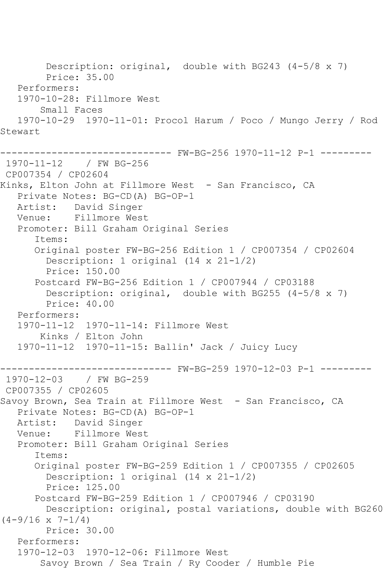Description: original, double with BG243 (4-5/8 x 7) Price: 35.00 Performers: 1970-10-28: Fillmore West Small Faces 1970-10-29 1970-11-01: Procol Harum / Poco / Mungo Jerry / Rod Stewart ------ FW-BG-256 1970-11-12 P-1 ---------1970-11-12 / FW BG-256 CP007354 / CP02604 Kinks, Elton John at Fillmore West - San Francisco, CA Private Notes: BG-CD(A) BG-OP-1 Artist: David Singer Venue: Fillmore West Promoter: Bill Graham Original Series Items: Original poster FW-BG-256 Edition 1 / CP007354 / CP02604 Description: 1 original (14 x 21-1/2) Price: 150.00 Postcard FW-BG-256 Edition 1 / CP007944 / CP03188 Description: original, double with BG255 (4-5/8 x 7) Price: 40.00 Performers: 1970-11-12 1970-11-14: Fillmore West Kinks / Elton John 1970-11-12 1970-11-15: Ballin' Jack / Juicy Lucy ------------------------------ FW-BG-259 1970-12-03 P-1 --------- 1970-12-03 / FW BG-259 CP007355 / CP02605 Savoy Brown, Sea Train at Fillmore West - San Francisco, CA Private Notes: BG-CD(A) BG-OP-1 Artist: David Singer Venue: Fillmore West Promoter: Bill Graham Original Series Items: Original poster FW-BG-259 Edition 1 / CP007355 / CP02605 Description: 1 original (14 x 21-1/2) Price: 125.00 Postcard FW-BG-259 Edition 1 / CP007946 / CP03190 Description: original, postal variations, double with BG260  $(4-9/16 \times 7-1/4)$  Price: 30.00 Performers: 1970-12-03 1970-12-06: Fillmore West Savoy Brown / Sea Train / Ry Cooder / Humble Pie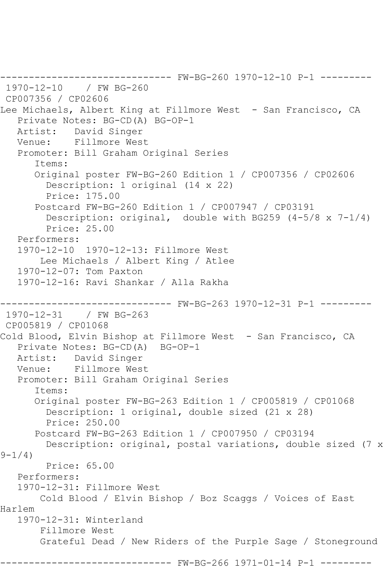```
------------------------------ FW-BG-260 1970-12-10 P-1 ---------
1970-12-10 / FW BG-260
CP007356 / CP02606
Lee Michaels, Albert King at Fillmore West - San Francisco, CA
   Private Notes: BG-CD(A) BG-OP-1
   Artist: David Singer
   Venue: Fillmore West
   Promoter: Bill Graham Original Series
       Items:
       Original poster FW-BG-260 Edition 1 / CP007356 / CP02606
         Description: 1 original (14 x 22)
         Price: 175.00
       Postcard FW-BG-260 Edition 1 / CP007947 / CP03191
         Description: original, double with BG259 (4-5/8 x 7-1/4)
         Price: 25.00
   Performers:
   1970-12-10 1970-12-13: Fillmore West
        Lee Michaels / Albert King / Atlee
   1970-12-07: Tom Paxton
   1970-12-16: Ravi Shankar / Alla Rakha
       ------------------------------ FW-BG-263 1970-12-31 P-1 ---------
1970-12-31 / FW BG-263
CP005819 / CP01068
Cold Blood, Elvin Bishop at Fillmore West - San Francisco, CA
   Private Notes: BG-CD(A) BG-OP-1
   Artist: David Singer
   Venue: Fillmore West
   Promoter: Bill Graham Original Series
       Items:
       Original poster FW-BG-263 Edition 1 / CP005819 / CP01068
         Description: 1 original, double sized (21 x 28)
         Price: 250.00
       Postcard FW-BG-263 Edition 1 / CP007950 / CP03194
         Description: original, postal variations, double sized (7 x 
9 - 1/4 Price: 65.00
   Performers:
   1970-12-31: Fillmore West
       Cold Blood / Elvin Bishop / Boz Scaggs / Voices of East 
Harlem
   1970-12-31: Winterland
        Fillmore West
        Grateful Dead / New Riders of the Purple Sage / Stoneground
                          ---- FW-BG-266 1971-01-14 P-1 ---------
```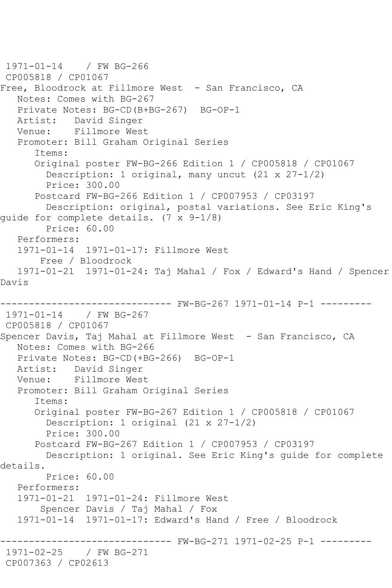```
1971-01-14 / FW BG-266
CP005818 / CP01067
Free, Bloodrock at Fillmore West - San Francisco, CA
   Notes: Comes with BG-267
   Private Notes: BG-CD(B+BG-267) BG-OP-1
   Artist: David Singer
   Venue: Fillmore West
   Promoter: Bill Graham Original Series
       Items:
      Original poster FW-BG-266 Edition 1 / CP005818 / CP01067
         Description: 1 original, many uncut (21 x 27-1/2)
         Price: 300.00
       Postcard FW-BG-266 Edition 1 / CP007953 / CP03197
         Description: original, postal variations. See Eric King's 
guide for complete details. (7 x 9-1/8)
         Price: 60.00
   Performers:
   1971-01-14 1971-01-17: Fillmore West
        Free / Bloodrock
   1971-01-21 1971-01-24: Taj Mahal / Fox / Edward's Hand / Spencer 
Davis
      ------------------------------ FW-BG-267 1971-01-14 P-1 ---------
1971-01-14 / FW BG-267
CP005818 / CP01067
Spencer Davis, Taj Mahal at Fillmore West - San Francisco, CA
   Notes: Comes with BG-266
   Private Notes: BG-CD(+BG-266) BG-OP-1
   Artist: David Singer
   Venue: Fillmore West
   Promoter: Bill Graham Original Series
       Items:
       Original poster FW-BG-267 Edition 1 / CP005818 / CP01067
         Description: 1 original (21 x 27-1/2)
         Price: 300.00
       Postcard FW-BG-267 Edition 1 / CP007953 / CP03197
        Description: 1 original. See Eric King's guide for complete 
details.
        Price: 60.00
   Performers:
   1971-01-21 1971-01-24: Fillmore West
        Spencer Davis / Taj Mahal / Fox
   1971-01-14 1971-01-17: Edward's Hand / Free / Bloodrock
                    ------------------------------ FW-BG-271 1971-02-25 P-1 ---------
1971-02-25 / FW BG-271
CP007363 / CP02613
```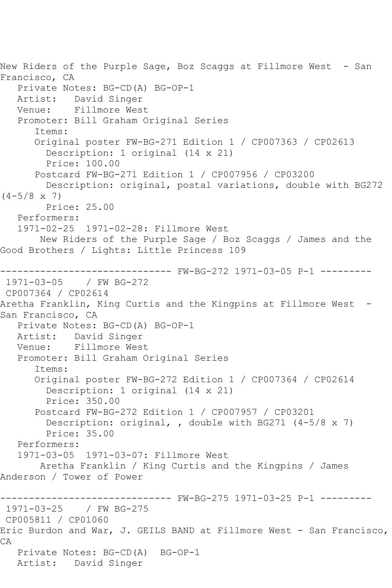New Riders of the Purple Sage, Boz Scaggs at Fillmore West - San Francisco, CA Private Notes: BG-CD(A) BG-OP-1 Artist: David Singer<br>Venue: Fillmore Wes Fillmore West Promoter: Bill Graham Original Series Items: Original poster FW-BG-271 Edition 1 / CP007363 / CP02613 Description: 1 original (14 x 21) Price: 100.00 Postcard FW-BG-271 Edition 1 / CP007956 / CP03200 Description: original, postal variations, double with BG272  $(4-5/8 \times 7)$  Price: 25.00 Performers: 1971-02-25 1971-02-28: Fillmore West New Riders of the Purple Sage / Boz Scaggs / James and the Good Brothers / Lights: Little Princess 109 ------------------------------ FW-BG-272 1971-03-05 P-1 ---------  $1971 - 03 - 05$ CP007364 / CP02614 Aretha Franklin, King Curtis and the Kingpins at Fillmore West -San Francisco, CA Private Notes: BG-CD(A) BG-OP-1 Artist: David Singer Venue: Fillmore West Promoter: Bill Graham Original Series Items: Original poster FW-BG-272 Edition 1 / CP007364 / CP02614 Description: 1 original (14 x 21) Price: 350.00 Postcard FW-BG-272 Edition 1 / CP007957 / CP03201 Description: original, , double with BG271 (4-5/8 x 7) Price: 35.00 Performers: 1971-03-05 1971-03-07: Fillmore West Aretha Franklin / King Curtis and the Kingpins / James Anderson / Tower of Power ------------------------------ FW-BG-275 1971-03-25 P-1 --------- 1971-03-25 CP005811 / CP01060 Eric Burdon and War, J. GEILS BAND at Fillmore West - San Francisco, CA Private Notes: BG-CD(A) BG-OP-1 Artist: David Singer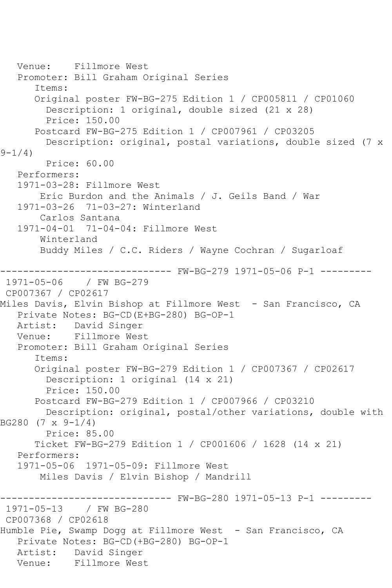Venue: Fillmore West Promoter: Bill Graham Original Series Items: Original poster FW-BG-275 Edition 1 / CP005811 / CP01060 Description: 1 original, double sized (21 x 28) Price: 150.00 Postcard FW-BG-275 Edition 1 / CP007961 / CP03205 Description: original, postal variations, double sized (7 x  $9 - 1/4$  Price: 60.00 Performers: 1971-03-28: Fillmore West Eric Burdon and the Animals / J. Geils Band / War 1971-03-26 71-03-27: Winterland Carlos Santana 1971-04-01 71-04-04: Fillmore West Winterland Buddy Miles / C.C. Riders / Wayne Cochran / Sugarloaf ------------------------------ FW-BG-279 1971-05-06 P-1 --------- 1971-05-06 / FW BG-279 CP007367 / CP02617 Miles Davis, Elvin Bishop at Fillmore West - San Francisco, CA Private Notes: BG-CD(E+BG-280) BG-OP-1<br>Artist: David Singer Artist: David Singer<br>Venue: Fillmore Wes Fillmore West Promoter: Bill Graham Original Series Items: Original poster FW-BG-279 Edition 1 / CP007367 / CP02617 Description: 1 original (14 x 21) Price: 150.00 Postcard FW-BG-279 Edition 1 / CP007966 / CP03210 Description: original, postal/other variations, double with BG280 (7 x 9-1/4) Price: 85.00 Ticket FW-BG-279 Edition 1 / CP001606 / 1628 (14 x 21) Performers: 1971-05-06 1971-05-09: Fillmore West Miles Davis / Elvin Bishop / Mandrill ------------------------------ FW-BG-280 1971-05-13 P-1 --------- 1971-05-13 CP007368 / CP02618 Humble Pie, Swamp Dogg at Fillmore West - San Francisco, CA Private Notes: BG-CD(+BG-280) BG-OP-1 Artist: David Singer Venue: Fillmore West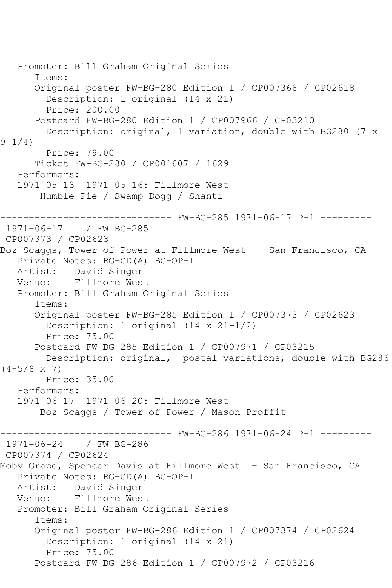```
 Promoter: Bill Graham Original Series
       Items:
       Original poster FW-BG-280 Edition 1 / CP007368 / CP02618
         Description: 1 original (14 x 21)
         Price: 200.00
       Postcard FW-BG-280 Edition 1 / CP007966 / CP03210
         Description: original, 1 variation, double with BG280 (7 x 
9 - 1/4 Price: 79.00
       Ticket FW-BG-280 / CP001607 / 1629
    Performers:
    1971-05-13 1971-05-16: Fillmore West
        Humble Pie / Swamp Dogg / Shanti
                   ------------------------------ FW-BG-285 1971-06-17 P-1 ---------
1971-06-17 / FW BG-285
CP007373 / CP02623
Boz Scaggs, Tower of Power at Fillmore West - San Francisco, CA
    Private Notes: BG-CD(A) BG-OP-1
   Artist: David Singer
   Venue: Fillmore West
   Promoter: Bill Graham Original Series
       Items:
       Original poster FW-BG-285 Edition 1 / CP007373 / CP02623
         Description: 1 original (14 x 21-1/2)
         Price: 75.00
       Postcard FW-BG-285 Edition 1 / CP007971 / CP03215
         Description: original, postal variations, double with BG286 
(4-5/8 \times 7) Price: 35.00
    Performers:
    1971-06-17 1971-06-20: Fillmore West
        Boz Scaggs / Tower of Power / Mason Proffit
                          ----- FW-BG-286 1971-06-24 P-1 ---------
1971-06-24 / FW BG-286
CP007374 / CP02624
Moby Grape, Spencer Davis at Fillmore West - San Francisco, CA
   Private Notes: BG-CD(A) BG-OP-1
   Artist: David Singer
   Venue: Fillmore West
    Promoter: Bill Graham Original Series
       Items:
       Original poster FW-BG-286 Edition 1 / CP007374 / CP02624
         Description: 1 original (14 x 21)
         Price: 75.00
       Postcard FW-BG-286 Edition 1 / CP007972 / CP03216
```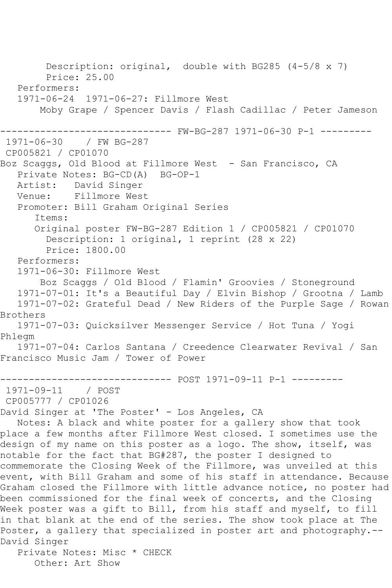Description: original, double with BG285 (4-5/8 x 7) Price: 25.00 Performers: 1971-06-24 1971-06-27: Fillmore West Moby Grape / Spencer Davis / Flash Cadillac / Peter Jameson ------------------------------ FW-BG-287 1971-06-30 P-1 --------- 1971-06-30 / FW BG-287 CP005821 / CP01070 Boz Scaggs, Old Blood at Fillmore West - San Francisco, CA Private Notes: BG-CD(A) BG-OP-1 Artist: David Singer Venue: Fillmore West Promoter: Bill Graham Original Series Items: Original poster FW-BG-287 Edition 1 / CP005821 / CP01070 Description: 1 original, 1 reprint (28 x 22) Price: 1800.00 Performers: 1971-06-30: Fillmore West Boz Scaggs / Old Blood / Flamin' Groovies / Stoneground 1971-07-01: It's a Beautiful Day / Elvin Bishop / Grootna / Lamb 1971-07-02: Grateful Dead / New Riders of the Purple Sage / Rowan Brothers 1971-07-03: Quicksilver Messenger Service / Hot Tuna / Yogi Phlegm 1971-07-04: Carlos Santana / Creedence Clearwater Revival / San Francisco Music Jam / Tower of Power ------------------------------ POST 1971-09-11 P-1 --------- 1971-09-11 / POST CP005777 / CP01026 David Singer at 'The Poster' - Los Angeles, CA Notes: A black and white poster for a gallery show that took place a few months after Fillmore West closed. I sometimes use the design of my name on this poster as a logo. The show, itself, was notable for the fact that BG#287, the poster I designed to commemorate the Closing Week of the Fillmore, was unveiled at this event, with Bill Graham and some of his staff in attendance. Because Graham closed the Fillmore with little advance notice, no poster had been commissioned for the final week of concerts, and the Closing Week poster was a gift to Bill, from his staff and myself, to fill in that blank at the end of the series. The show took place at The Poster, a gallery that specialized in poster art and photography.-- David Singer Private Notes: Misc \* CHECK Other: Art Show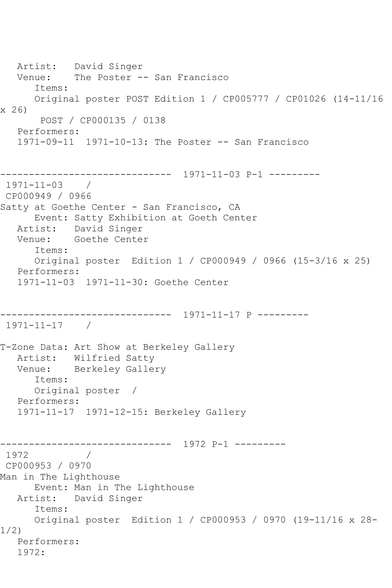Artist: David Singer Venue: The Poster -- San Francisco Items: Original poster POST Edition 1 / CP005777 / CP01026 (14-11/16 x 26) POST / CP000135 / 0138 Performers: 1971-09-11 1971-10-13: The Poster -- San Francisco ------------------------------ 1971-11-03 P-1 ---------  $1971 - 11 - 03$  / CP000949 / 0966 Satty at Goethe Center - San Francisco, CA Event: Satty Exhibition at Goeth Center Artist: David Singer Venue: Goethe Center Items: Original poster Edition 1 / CP000949 / 0966 (15-3/16 x 25) Performers: 1971-11-03 1971-11-30: Goethe Center ------------------------------ 1971-11-17 P --------- 1971-11-17 / T-Zone Data: Art Show at Berkeley Gallery Artist: Wilfried Satty Venue: Berkeley Gallery Items: Original poster / Performers: 1971-11-17 1971-12-15: Berkeley Gallery ------------------------------ 1972 P-1 --------- 1972 / CP000953 / 0970 Man in The Lighthouse Event: Man in The Lighthouse Artist: David Singer Items: Original poster Edition 1 / CP000953 / 0970 (19-11/16 x 28- 1/2) Performers: 1972: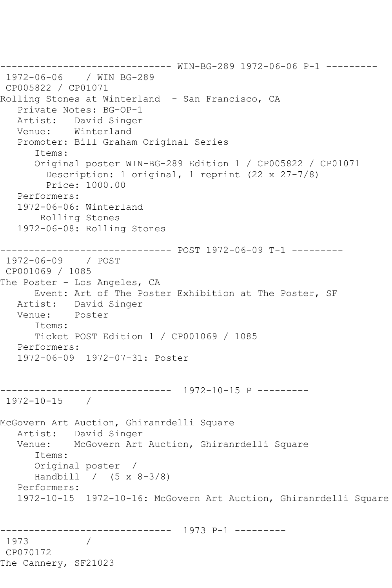------------------------------ WIN-BG-289 1972-06-06 P-1 --------- 1972-06-06 / WIN BG-289 CP005822 / CP01071 Rolling Stones at Winterland - San Francisco, CA Private Notes: BG-OP-1 Artist: David Singer Venue: Winterland Promoter: Bill Graham Original Series Items: Original poster WIN-BG-289 Edition 1 / CP005822 / CP01071 Description: 1 original, 1 reprint (22 x 27-7/8) Price: 1000.00 Performers: 1972-06-06: Winterland Rolling Stones 1972-06-08: Rolling Stones ------------------------------ POST 1972-06-09 T-1 --------- 1972-06-09 / POST CP001069 / 1085 The Poster - Los Angeles, CA Event: Art of The Poster Exhibition at The Poster, SF Artist: David Singer Venue: Poster Items: Ticket POST Edition 1 / CP001069 / 1085 Performers: 1972-06-09 1972-07-31: Poster ------------------------------ 1972-10-15 P --------- 1972-10-15 / McGovern Art Auction, Ghiranrdelli Square Artist: David Singer Venue: McGovern Art Auction, Ghiranrdelli Square Items: Original poster / Handbill /  $(5 \times 8-3/8)$  Performers: 1972-10-15 1972-10-16: McGovern Art Auction, Ghiranrdelli Square ------------------------------ 1973 P-1 --------- 1973 / CP070172 The Cannery, SF21023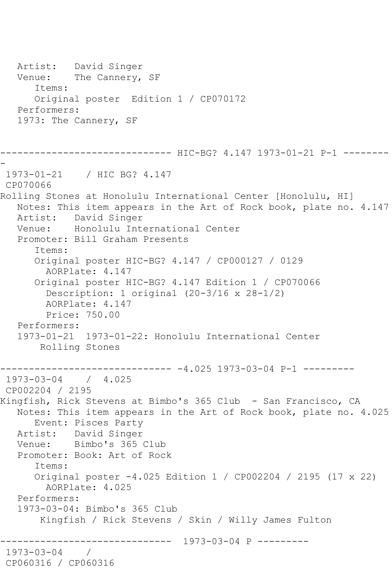Artist: David Singer Venue: The Cannery, SF Items: Original poster Edition 1 / CP070172 Performers: 1973: The Cannery, SF ------------ HIC-BG? 4.147 1973-01-21 P-1 -------- 1973-01-21 / HIC BG? 4.147 CP070066 Rolling Stones at Honolulu International Center [Honolulu, HI] Notes: This item appears in the Art of Rock book, plate no. 4.147 Artist: David Singer Venue: Honolulu International Center Promoter: Bill Graham Presents Items: Original poster HIC-BG? 4.147 / CP000127 / 0129 AORPlate: 4.147 Original poster HIC-BG? 4.147 Edition 1 / CP070066 Description: 1 original (20-3/16 x 28-1/2) AORPlate: 4.147 Price: 750.00 Performers: 1973-01-21 1973-01-22: Honolulu International Center Rolling Stones ------------------------------ -4.025 1973-03-04 P-1 --------- 1973-03-04 / 4.025 CP002204 / 2195 Kingfish, Rick Stevens at Bimbo's 365 Club - San Francisco, CA Notes: This item appears in the Art of Rock book, plate no. 4.025 Event: Pisces Party<br>Artist: David Singer David Singer Venue: Bimbo's 365 Club Promoter: Book: Art of Rock Items: Original poster -4.025 Edition 1 / CP002204 / 2195 (17 x 22) AORPlate: 4.025 Performers: 1973-03-04: Bimbo's 365 Club Kingfish / Rick Stevens / Skin / Willy James Fulton ------------------------------ 1973-03-04 P --------- 1973-03-04 / CP060316 / CP060316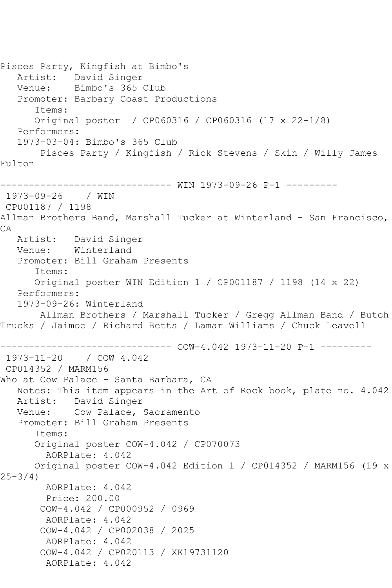Pisces Party, Kingfish at Bimbo's Artist: David Singer Venue: Bimbo's 365 Club Promoter: Barbary Coast Productions Items: Original poster / CP060316 / CP060316 (17 x 22-1/8) Performers: 1973-03-04: Bimbo's 365 Club Pisces Party / Kingfish / Rick Stevens / Skin / Willy James Fulton ------------------------------ WIN 1973-09-26 P-1 --------- 1973-09-26 / WIN CP001187 / 1198 Allman Brothers Band, Marshall Tucker at Winterland - San Francisco, CA Artist: David Singer Venue: Winterland Promoter: Bill Graham Presents Items: Original poster WIN Edition 1 / CP001187 / 1198 (14 x 22) Performers: 1973-09-26: Winterland Allman Brothers / Marshall Tucker / Gregg Allman Band / Butch Trucks / Jaimoe / Richard Betts / Lamar Williams / Chuck Leavell ------------------------------ COW-4.042 1973-11-20 P-1 --------- 1973-11-20 / COW 4.042 CP014352 / MARM156 Who at Cow Palace - Santa Barbara, CA Notes: This item appears in the Art of Rock book, plate no. 4.042 Artist: David Singer Venue: Cow Palace, Sacramento Promoter: Bill Graham Presents Items: Original poster COW-4.042 / CP070073 AORPlate: 4.042 Original poster COW-4.042 Edition 1 / CP014352 / MARM156 (19 x 25-3/4) AORPlate: 4.042 Price: 200.00 COW-4.042 / CP000952 / 0969 AORPlate: 4.042 COW-4.042 / CP002038 / 2025 AORPlate: 4.042 COW-4.042 / CP020113 / XK19731120 AORPlate: 4.042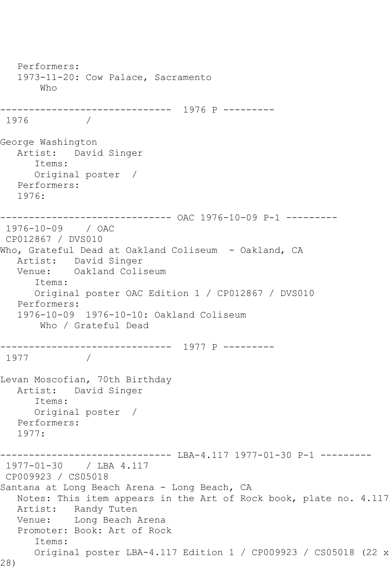Performers: 1973-11-20: Cow Palace, Sacramento Who ------------------------------ 1976 P --------- 1976 / George Washington Artist: David Singer Items: Original poster / Performers: 1976: ------------------------------ OAC 1976-10-09 P-1 --------- 1976-10-09 / OAC CP012867 / DVS010 Who, Grateful Dead at Oakland Coliseum - Oakland, CA Artist: David Singer Venue: Oakland Coliseum Items: Original poster OAC Edition 1 / CP012867 / DVS010 Performers: 1976-10-09 1976-10-10: Oakland Coliseum Who / Grateful Dead ------------------------------ 1977 P --------- 1977 / Levan Moscofian, 70th Birthday Artist: David Singer Items: Original poster / Performers: 1977: ------------------------------ LBA-4.117 1977-01-30 P-1 --------- 1977-01-30 / LBA 4.117 CP009923 / CS05018 Santana at Long Beach Arena - Long Beach, CA Notes: This item appears in the Art of Rock book, plate no. 4.117 Artist: Randy Tuten Venue: Long Beach Arena Promoter: Book: Art of Rock Items: Original poster LBA-4.117 Edition 1 / CP009923 / CS05018 (22 x 28)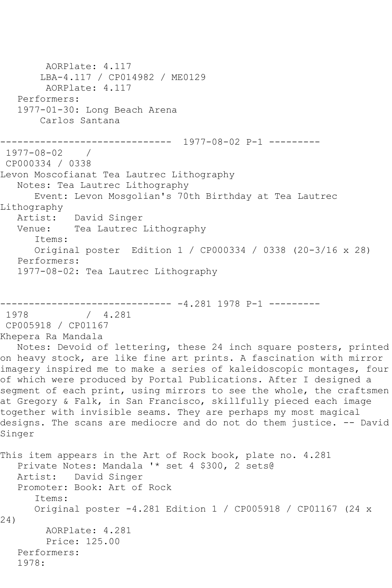AORPlate: 4.117 LBA-4.117 / CP014982 / ME0129 AORPlate: 4.117 Performers: 1977-01-30: Long Beach Arena Carlos Santana ------------------------------ 1977-08-02 P-1 --------- 1977-08-02 / CP000334 / 0338 Levon Moscofianat Tea Lautrec Lithography Notes: Tea Lautrec Lithography Event: Levon Mosgolian's 70th Birthday at Tea Lautrec Lithography Artist: David Singer Venue: Tea Lautrec Lithography Items: Original poster Edition 1 / CP000334 / 0338 (20-3/16 x 28) Performers: 1977-08-02: Tea Lautrec Lithography ------------------------------ -4.281 1978 P-1 ---------  $/ 4.281$ CP005918 / CP01167 Khepera Ra Mandala Notes: Devoid of lettering, these 24 inch square posters, printed on heavy stock, are like fine art prints. A fascination with mirror imagery inspired me to make a series of kaleidoscopic montages, four of which were produced by Portal Publications. After I designed a segment of each print, using mirrors to see the whole, the craftsmen at Gregory & Falk, in San Francisco, skillfully pieced each image together with invisible seams. They are perhaps my most magical designs. The scans are mediocre and do not do them justice. -- David Singer This item appears in the Art of Rock book, plate no. 4.281 Private Notes: Mandala '\* set 4 \$300, 2 sets@ Artist: David Singer Promoter: Book: Art of Rock Items: Original poster -4.281 Edition 1 / CP005918 / CP01167 (24 x 24) AORPlate: 4.281 Price: 125.00 Performers: 1978: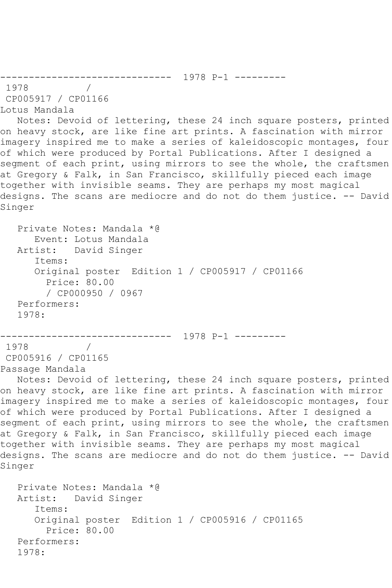------------------------------ 1978 P-1 --------- 1978 / CP005917 / CP01166 Lotus Mandala

 Notes: Devoid of lettering, these 24 inch square posters, printed on heavy stock, are like fine art prints. A fascination with mirror imagery inspired me to make a series of kaleidoscopic montages, four of which were produced by Portal Publications. After I designed a segment of each print, using mirrors to see the whole, the craftsmen at Gregory & Falk, in San Francisco, skillfully pieced each image together with invisible seams. They are perhaps my most magical designs. The scans are mediocre and do not do them justice. -- David Singer

 Private Notes: Mandala \*@ Event: Lotus Mandala Artist: David Singer Items: Original poster Edition 1 / CP005917 / CP01166 Price: 80.00 / CP000950 / 0967 Performers: 1978:

------------------------------ 1978 P-1 ---------

1978 CP005916 / CP01165 Passage Mandala

 Notes: Devoid of lettering, these 24 inch square posters, printed on heavy stock, are like fine art prints. A fascination with mirror imagery inspired me to make a series of kaleidoscopic montages, four of which were produced by Portal Publications. After I designed a segment of each print, using mirrors to see the whole, the craftsmen at Gregory & Falk, in San Francisco, skillfully pieced each image together with invisible seams. They are perhaps my most magical designs. The scans are mediocre and do not do them justice. -- David Singer

 Private Notes: Mandala \*@ Artist: David Singer Items: Original poster Edition 1 / CP005916 / CP01165 Price: 80.00 Performers: 1978: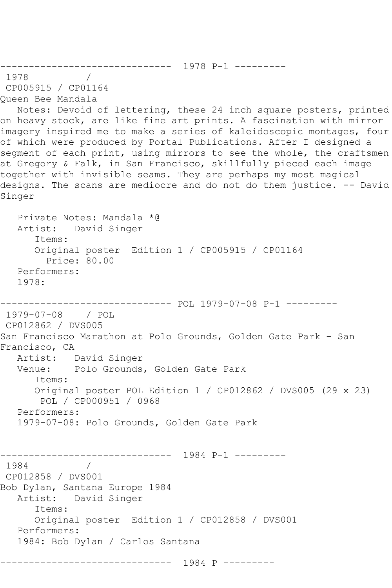------------------------------ 1978 P-1 ---------

1978 CP005915 / CP01164 Queen Bee Mandala

 Notes: Devoid of lettering, these 24 inch square posters, printed on heavy stock, are like fine art prints. A fascination with mirror imagery inspired me to make a series of kaleidoscopic montages, four of which were produced by Portal Publications. After I designed a segment of each print, using mirrors to see the whole, the craftsmen at Gregory & Falk, in San Francisco, skillfully pieced each image together with invisible seams. They are perhaps my most magical designs. The scans are mediocre and do not do them justice. -- David Singer

 Private Notes: Mandala \*@ Artist: David Singer Items: Original poster Edition 1 / CP005915 / CP01164 Price: 80.00 Performers: 1978: ------------------------------ POL 1979-07-08 P-1 --------- 1979-07-08 / POL CP012862 / DVS005 San Francisco Marathon at Polo Grounds, Golden Gate Park - San Francisco, CA Artist: David Singer Venue: Polo Grounds, Golden Gate Park Items: Original poster POL Edition 1 / CP012862 / DVS005 (29 x 23) POL / CP000951 / 0968 Performers: 1979-07-08: Polo Grounds, Golden Gate Park ------------------------------ 1984 P-1 --------- 1984 / CP012858 / DVS001 Bob Dylan, Santana Europe 1984 Artist: David Singer Items: Original poster Edition 1 / CP012858 / DVS001 Performers: 1984: Bob Dylan / Carlos Santana ------------------------------ 1984 P ---------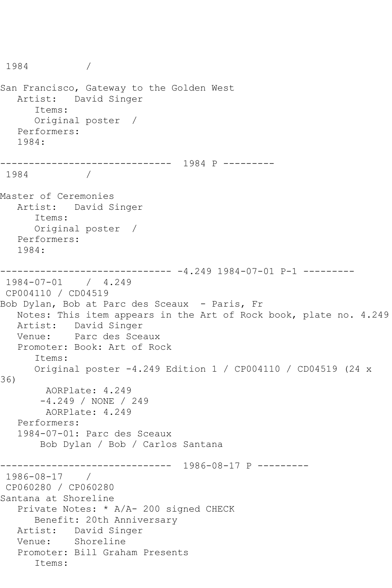```
1984 / 
San Francisco, Gateway to the Golden West
   Artist: David Singer
       Items:
       Original poster / 
   Performers:
   1984:
       ------------------------------ 1984 P ---------
1984 / 
Master of Ceremonies
   Artist: David Singer
       Items:
       Original poster / 
   Performers:
   1984:
------------------------------ -4.249 1984-07-01 P-1 ---------
1984-07-01 / 4.249
CP004110 / CD04519
Bob Dylan, Bob at Parc des Sceaux - Paris, Fr
   Notes: This item appears in the Art of Rock book, plate no. 4.249
   Artist: David Singer
   Venue: Parc des Sceaux
   Promoter: Book: Art of Rock
       Items:
       Original poster -4.249 Edition 1 / CP004110 / CD04519 (24 x 
36)
        AORPlate: 4.249 
        -4.249 / NONE / 249
         AORPlate: 4.249 
   Performers:
   1984-07-01: Parc des Sceaux
        Bob Dylan / Bob / Carlos Santana
                  ------------------------------ 1986-08-17 P ---------
1986-08-17 / 
CP060280 / CP060280
Santana at Shoreline
   Private Notes: * A/A- 200 signed CHECK
       Benefit: 20th Anniversary
   Artist: David Singer
   Venue: Shoreline
    Promoter: Bill Graham Presents
       Items:
```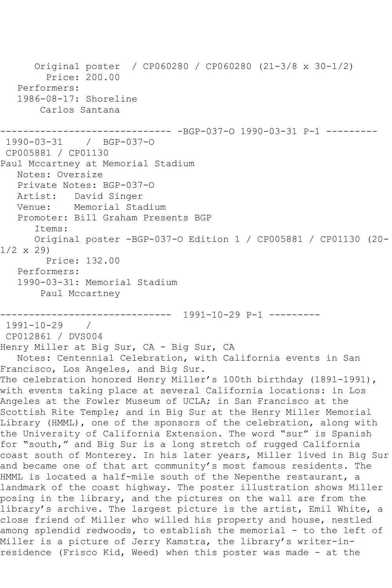Original poster / CP060280 / CP060280 (21-3/8 x 30-1/2) Price: 200.00 Performers: 1986-08-17: Shoreline Carlos Santana ------------------------------ -BGP-037-O 1990-03-31 P-1 --------- 1990-03-31 / BGP-037-O CP005881 / CP01130 Paul Mccartney at Memorial Stadium Notes: Oversize Private Notes: BGP-037-O Artist: David Singer Venue: Memorial Stadium Promoter: Bill Graham Presents BGP Items: Original poster -BGP-037-O Edition 1 / CP005881 / CP01130 (20-  $1/2 \times 29$  Price: 132.00 Performers: 1990-03-31: Memorial Stadium Paul Mccartney ------------------------------ 1991-10-29 P-1 --------- 1991-10-29 / CP012861 / DVS004 Henry Miller at Big Sur, CA - Big Sur, CA Notes: Centennial Celebration, with California events in San Francisco, Los Angeles, and Big Sur. The celebration honored Henry Miller's 100th birthday (1891-1991), with events taking place at several California locations: in Los Angeles at the Fowler Museum of UCLA; in San Francisco at the Scottish Rite Temple; and in Big Sur at the Henry Miller Memorial Library (HMML), one of the sponsors of the celebration, along with the University of California Extension. The word "sur" is Spanish for "south," and Big Sur is a long stretch of rugged California coast south of Monterey. In his later years, Miller lived in Big Sur and became one of that art community's most famous residents. The HMML is located a half-mile south of the Nepenthe restaurant, a landmark of the coast highway. The poster illustration shows Miller posing in the library, and the pictures on the wall are from the library's archive. The largest picture is the artist, Emil White, a close friend of Miller who willed his property and house, nestled among splendid redwoods, to establish the memorial - to the left of Miller is a picture of Jerry Kamstra, the library's writer-inresidence (Frisco Kid, Weed) when this poster was made - at the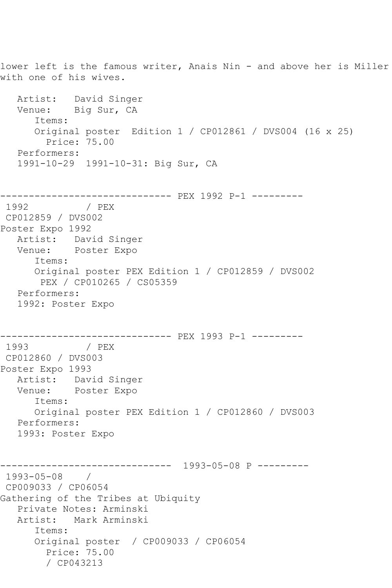lower left is the famous writer, Anais Nin - and above her is Miller with one of his wives. Artist: David Singer Venue: Big Sur, CA Items: Original poster Edition 1 / CP012861 / DVS004 (16 x 25) Price: 75.00 Performers: 1991-10-29 1991-10-31: Big Sur, CA ------------------------------ PEX 1992 P-1 --------- 1992 / PEX CP012859 / DVS002 Poster Expo 1992 Artist: David Singer Venue: Poster Expo Items: Original poster PEX Edition 1 / CP012859 / DVS002 PEX / CP010265 / CS05359 Performers: 1992: Poster Expo ------------------------------ PEX 1993 P-1 --------- 1993 / PEX CP012860 / DVS003 Poster Expo 1993 Artist: David Singer Venue: Poster Expo Items: Original poster PEX Edition 1 / CP012860 / DVS003 Performers: 1993: Poster Expo ------------------------------ 1993-05-08 P --------- 1993-05-08 / CP009033 / CP06054 Gathering of the Tribes at Ubiquity Private Notes: Arminski Artist: Mark Arminski Items: Original poster / CP009033 / CP06054 Price: 75.00 / CP043213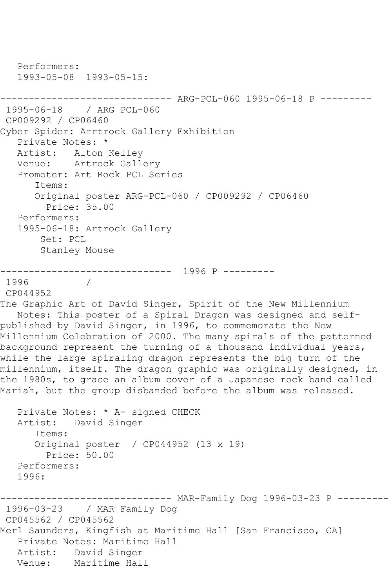Performers: 1993-05-08 1993-05-15: ------------------------------ ARG-PCL-060 1995-06-18 P --------- 1995-06-18 / ARG PCL-060 CP009292 / CP06460 Cyber Spider: Arrtrock Gallery Exhibition Private Notes: \* Artist: Alton Kelley Venue: Artrock Gallery Promoter: Art Rock PCL Series Items: Original poster ARG-PCL-060 / CP009292 / CP06460 Price: 35.00 Performers: 1995-06-18: Artrock Gallery Set: PCL Stanley Mouse ------------------------------ 1996 P --------- 1996 CP044952 The Graphic Art of David Singer, Spirit of the New Millennium Notes: This poster of a Spiral Dragon was designed and selfpublished by David Singer, in 1996, to commemorate the New Millennium Celebration of 2000. The many spirals of the patterned background represent the turning of a thousand individual years, while the large spiraling dragon represents the big turn of the millennium, itself. The dragon graphic was originally designed, in the 1980s, to grace an album cover of a Japanese rock band called Mariah, but the group disbanded before the album was released. Private Notes: \* A- signed CHECK Artist: David Singer Items: Original poster / CP044952 (13 x 19) Price: 50.00 Performers: 1996: ------------------------------ MAR-Family Dog 1996-03-23 P --------- 1996-03-23 / MAR Family Dog CP045562 / CP045562 Merl Saunders, Kingfish at Maritime Hall [San Francisco, CA] Private Notes: Maritime Hall Artist: David Singer Venue: Maritime Hall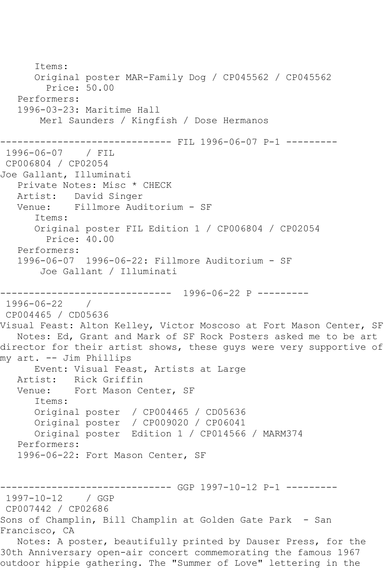Items: Original poster MAR-Family Dog / CP045562 / CP045562 Price: 50.00 Performers: 1996-03-23: Maritime Hall Merl Saunders / Kingfish / Dose Hermanos ------------------------------ FIL 1996-06-07 P-1 --------- 1996-06-07 / FIL CP006804 / CP02054 Joe Gallant, Illuminati Private Notes: Misc \* CHECK Artist: David Singer Venue: Fillmore Auditorium - SF Items: Original poster FIL Edition 1 / CP006804 / CP02054 Price: 40.00 Performers: 1996-06-07 1996-06-22: Fillmore Auditorium - SF Joe Gallant / Illuminati ------------------------------ 1996-06-22 P --------- 1996-06-22 / CP004465 / CD05636 Visual Feast: Alton Kelley, Victor Moscoso at Fort Mason Center, SF Notes: Ed, Grant and Mark of SF Rock Posters asked me to be art director for their artist shows, these guys were very supportive of my art. -- Jim Phillips Event: Visual Feast, Artists at Large Artist: Rick Griffin Venue: Fort Mason Center, SF Items: Original poster / CP004465 / CD05636 Original poster / CP009020 / CP06041 Original poster Edition 1 / CP014566 / MARM374 Performers: 1996-06-22: Fort Mason Center, SF ----------------------------- GGP 1997-10-12 P-1 ----------1997-10-12 / GGP CP007442 / CP02686 Sons of Champlin, Bill Champlin at Golden Gate Park - San Francisco, CA Notes: A poster, beautifully printed by Dauser Press, for the 30th Anniversary open-air concert commemorating the famous 1967 outdoor hippie gathering. The "Summer of Love" lettering in the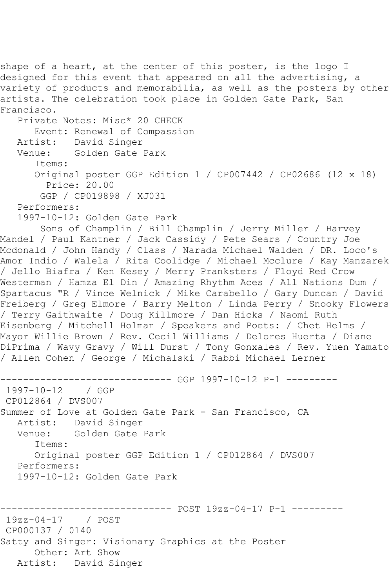designed for this event that appeared on all the advertising, a variety of products and memorabilia, as well as the posters by other artists. The celebration took place in Golden Gate Park, San Francisco. Private Notes: Misc\* 20 CHECK Event: Renewal of Compassion Artist: David Singer Venue: Golden Gate Park Items: Original poster GGP Edition 1 / CP007442 / CP02686 (12 x 18) Price: 20.00 GGP / CP019898 / XJ031 Performers: 1997-10-12: Golden Gate Park Sons of Champlin / Bill Champlin / Jerry Miller / Harvey Mandel / Paul Kantner / Jack Cassidy / Pete Sears / Country Joe Mcdonald / John Handy / Class / Narada Michael Walden / DR. Loco's Amor Indio / Walela / Rita Coolidge / Michael Mcclure / Kay Manzarek / Jello Biafra / Ken Kesey / Merry Pranksters / Floyd Red Crow Westerman / Hamza El Din / Amazing Rhythm Aces / All Nations Dum / Spartacus "R / Vince Welnick / Mike Carabello / Gary Duncan / David Freiberg / Greg Elmore / Barry Melton / Linda Perry / Snooky Flowers / Terry Gaithwaite / Doug Killmore / Dan Hicks / Naomi Ruth Eisenberg / Mitchell Holman / Speakers and Poets: / Chet Helms / Mayor Willie Brown / Rev. Cecil Williams / Delores Huerta / Diane DiPrima / Wavy Gravy / Will Durst / Tony Gonxales / Rev. Yuen Yamato / Allen Cohen / George / Michalski / Rabbi Michael Lerner ------------------------------ GGP 1997-10-12 P-1 --------- 1997-10-12 / GGP CP012864 / DVS007 Summer of Love at Golden Gate Park - San Francisco, CA Artist: David Singer Venue: Golden Gate Park Items: Original poster GGP Edition 1 / CP012864 / DVS007 Performers: 1997-10-12: Golden Gate Park ------------------------------ POST 19zz-04-17 P-1 --------- 19zz-04-17 / POST CP000137 / 0140 Satty and Singer: Visionary Graphics at the Poster Other: Art Show Artist: David Singer

shape of a heart, at the center of this poster, is the logo I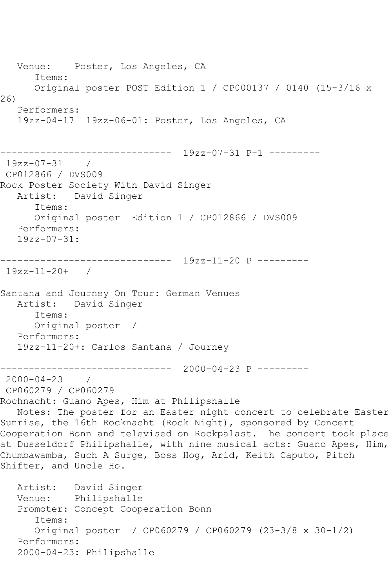Venue: Poster, Los Angeles, CA Items: Original poster POST Edition 1 / CP000137 / 0140 (15-3/16 x 26) Performers: 19zz-04-17 19zz-06-01: Poster, Los Angeles, CA ------------------------------ 19zz-07-31 P-1 --------- 19zz-07-31 / CP012866 / DVS009 Rock Poster Society With David Singer Artist: David Singer Items: Original poster Edition 1 / CP012866 / DVS009 Performers: 19zz-07-31: ------------------------------ 19zz-11-20 P --------- 19zz-11-20+ / Santana and Journey On Tour: German Venues Artist: David Singer Items: Original poster / Performers: 19zz-11-20+: Carlos Santana / Journey ------------------------------ 2000-04-23 P --------- 2000-04-23 / CP060279 / CP060279 Rochnacht: Guano Apes, Him at Philipshalle Notes: The poster for an Easter night concert to celebrate Easter Sunrise, the 16th Rocknacht (Rock Night), sponsored by Concert Cooperation Bonn and televised on Rockpalast. The concert took place at Dusseldorf Philipshalle, with nine musical acts: Guano Apes, Him, Chumbawamba, Such A Surge, Boss Hog, Arid, Keith Caputo, Pitch Shifter, and Uncle Ho. Artist: David Singer Venue: Philipshalle Promoter: Concept Cooperation Bonn Items: Original poster / CP060279 / CP060279 (23-3/8 x 30-1/2) Performers: 2000-04-23: Philipshalle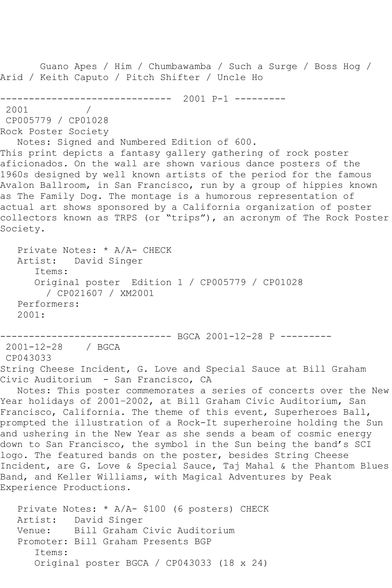Guano Apes / Him / Chumbawamba / Such a Surge / Boss Hog / Arid / Keith Caputo / Pitch Shifter / Uncle Ho ------------------------------ 2001 P-1 --------- 2001 / CP005779 / CP01028 Rock Poster Society Notes: Signed and Numbered Edition of 600. This print depicts a fantasy gallery gathering of rock poster aficionados. On the wall are shown various dance posters of the 1960s designed by well known artists of the period for the famous Avalon Ballroom, in San Francisco, run by a group of hippies known as The Family Dog. The montage is a humorous representation of actual art shows sponsored by a California organization of poster collectors known as TRPS (or "trips"), an acronym of The Rock Poster Society. Private Notes: \* A/A- CHECK Artist: David Singer Items: Original poster Edition 1 / CP005779 / CP01028 / CP021607 / XM2001 Performers: 2001: ------------------------------ BGCA 2001-12-28 P --------- 2001-12-28 / BGCA CP043033 String Cheese Incident, G. Love and Special Sauce at Bill Graham Civic Auditorium - San Francisco, CA Notes: This poster commemorates a series of concerts over the New Year holidays of 2001–2002, at Bill Graham Civic Auditorium, San Francisco, California. The theme of this event, Superheroes Ball, prompted the illustration of a Rock-It superheroine holding the Sun and ushering in the New Year as she sends a beam of cosmic energy down to San Francisco, the symbol in the Sun being the band's SCI logo. The featured bands on the poster, besides String Cheese Incident, are G. Love & Special Sauce, Taj Mahal & the Phantom Blues Band, and Keller Williams, with Magical Adventures by Peak Experience Productions. Private Notes: \* A/A- \$100 (6 posters) CHECK

Artist: David Singer<br>Venue: Bill Graham Bill Graham Civic Auditorium Promoter: Bill Graham Presents BGP Items: Original poster BGCA / CP043033 (18 x 24)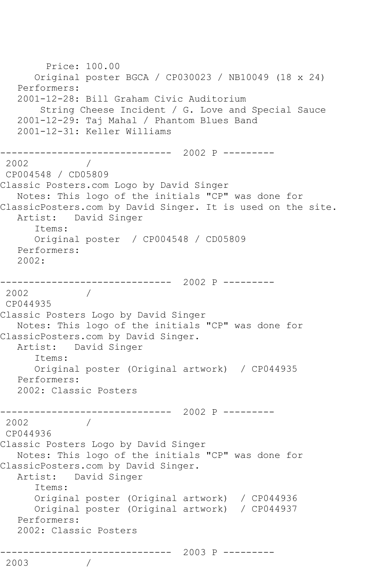Price: 100.00 Original poster BGCA / CP030023 / NB10049 (18 x 24) Performers: 2001-12-28: Bill Graham Civic Auditorium String Cheese Incident / G. Love and Special Sauce 2001-12-29: Taj Mahal / Phantom Blues Band 2001-12-31: Keller Williams ------------------------------ 2002 P --------- 2002 / CP004548 / CD05809 Classic Posters.com Logo by David Singer Notes: This logo of the initials "CP" was done for ClassicPosters.com by David Singer. It is used on the site. Artist: David Singer Items: Original poster / CP004548 / CD05809 Performers: 2002: ------------------------------ 2002 P --------- 2002 / CP044935 Classic Posters Logo by David Singer Notes: This logo of the initials "CP" was done for ClassicPosters.com by David Singer. Artist: David Singer Items: Original poster (Original artwork) / CP044935 Performers: 2002: Classic Posters ------------------------------ 2002 P --------- 2002 / CP044936 Classic Posters Logo by David Singer Notes: This logo of the initials "CP" was done for ClassicPosters.com by David Singer. Artist: David Singer Items: Original poster (Original artwork) / CP044936 Original poster (Original artwork) / CP044937 Performers: 2002: Classic Posters ------------------------------ 2003 P --------- 2003 /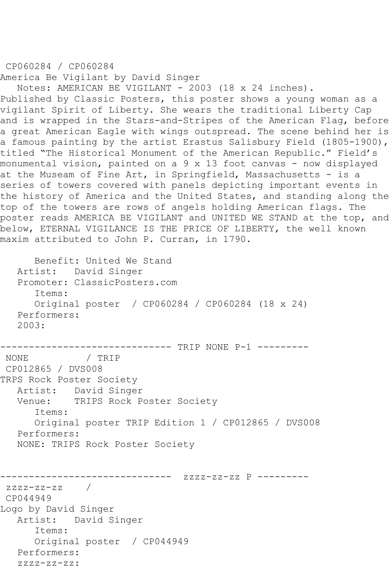## CP060284 / CP060284

America Be Vigilant by David Singer

 Notes: AMERICAN BE VIGILANT - 2003 (18 x 24 inches). Published by Classic Posters, this poster shows a young woman as a vigilant Spirit of Liberty. She wears the traditional Liberty Cap and is wrapped in the Stars-and-Stripes of the American Flag, before a great American Eagle with wings outspread. The scene behind her is a famous painting by the artist Erastus Salisbury Field (1805-1900), titled "The Historical Monument of the American Republic." Field's monumental vision, painted on a 9 x 13 foot canvas - now displayed at the Museam of Fine Art, in Springfield, Massachusetts - is a series of towers covered with panels depicting important events in the history of America and the United States, and standing along the top of the towers are rows of angels holding American flags. The poster reads AMERICA BE VIGILANT and UNITED WE STAND at the top, and below, ETERNAL VIGILANCE IS THE PRICE OF LIBERTY, the well known maxim attributed to John P. Curran, in 1790.

 Benefit: United We Stand Artist: David Singer Promoter: ClassicPosters.com Items: Original poster / CP060284 / CP060284 (18 x 24) Performers: 2003: ------------------------------ TRIP NONE P-1 --------- NONE / TRIP CP012865 / DVS008 TRPS Rock Poster Society Artist: David Singer Venue: TRIPS Rock Poster Society Items: Original poster TRIP Edition 1 / CP012865 / DVS008 Performers: NONE: TRIPS Rock Poster Society ------------------------------ zzzz-zz-zz P -------- zzzz-zz-zz / CP044949 Logo by David Singer Artist: David Singer Items: Original poster / CP044949 Performers: zzzz-zz-zz: